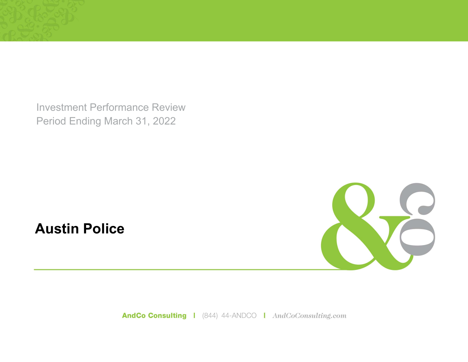Investment Performance Review Period Ending March 31, 2022

# **Austin Police**



AndCo Consulting | (844) 44-ANDCO | AndCoConsulting.com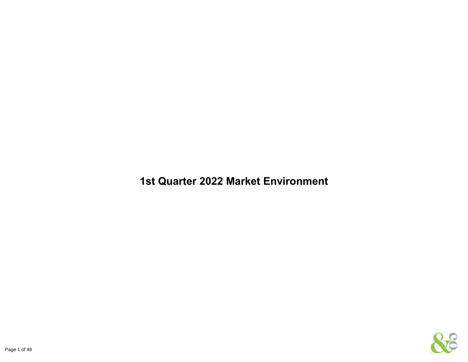**1st Quarter 2022 Market Environment**

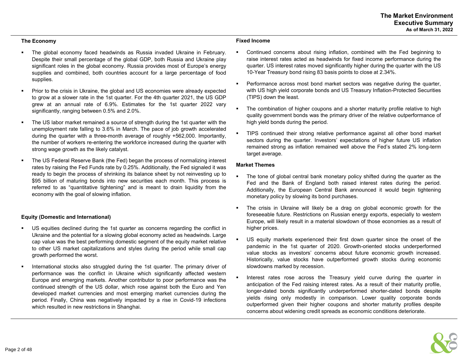#### **The Economy**

- The global economy faced headwinds as Russia invaded Ukraine in February. Despite their small percentage of the global GDP, both Russia and Ukraine play significant roles in the global economy. Russia provides most of Europe's energy supplies and combined, both countries account for a large percentage of food supplies.
- **Prior to the crisis in Ukraine, the global and US economies were already expected** to grow at a slower rate in the 1st quarter. For the 4th quarter 2021, the US GDP grew at an annual rate of 6.9%. Estimates for the 1st quarter 2022 vary significantly, ranging between 0.5% and 2.0%.
- The US labor market remained a source of strength during the 1st quarter with the unemployment rate falling to 3.6% in March. The pace of job growth accelerated during the quarter with a three-month average of roughly +562,000. Importantly, the number of workers re-entering the workforce increased during the quarter with strong wage growth as the likely catalyst.
- The US Federal Reserve Bank (the Fed) began the process of normalizing interest rates by raising the Fed Funds rate by 0.25%. Additionally, the Fed signaled it was ready to begin the process of shrinking its balance sheet by not reinvesting up to \$95 billion of maturing bonds into new securities each month. This process is referred to as "quantitative tightening" and is meant to drain liquidity from the economy with the goal of slowing inflation.

## **Equity (Domestic and International)**

- US equities declined during the 1st quarter as concerns regarding the conflict in Ukraine and the potential for a slowing global economy acted as headwinds. Large cap value was the best performing domestic segment of the equity market relative to other US market capitalizations and styles during the period while small cap growth performed the worst.
- International stocks also struggled during the 1st quarter. The primary driver of performance was the conflict in Ukraine which significantly affected western Europe and emerging markets. Another contributor to poor performance was the continued strength of the US dollar, which rose against both the Euro and Yen developed market currencies and most emerging market currencies during the period. Finally, China was negatively impacted by a rise in Covid-19 infections which resulted in new restrictions in Shanghai.

### **Fixed Income**

- Continued concerns about rising inflation, combined with the Fed beginning to raise interest rates acted as headwinds for fixed income performance during the quarter. US interest rates moved significantly higher during the quarter with the US 10-Year Treasury bond rising 83 basis points to close at 2.34%.
- Performance across most bond market sectors was negative during the quarter, with US high yield corporate bonds and US Treasury Inflation-Protected Securities (TIPS) down the least.
- The combination of higher coupons and a shorter maturity profile relative to high quality government bonds was the primary driver of the relative outperformance of high yield bonds during the period.
- TIPS continued their strong relative performance against all other bond market sectors during the quarter. Investors' expectations of higher future US inflation remained strong as inflation remained well above the Fed's stated 2% long-term target average.

#### **Market Themes**

- The tone of global central bank monetary policy shifted during the quarter as the Fed and the Bank of England both raised interest rates during the period. Additionally, the European Central Bank announced it would begin tightening monetary policy by slowing its bond purchases.
- The crisis in Ukraine will likely be a drag on global economic growth for the foreseeable future. Restrictions on Russian energy exports, especially to western Europe, will likely result in a material slowdown of those economies as a result of higher prices.
- US equity markets experienced their first down quarter since the onset of the pandemic in the 1st quarter of 2020. Growth-oriented stocks underperformed value stocks as investors' concerns about future economic growth increased. Historically, value stocks have outperformed growth stocks during economic slowdowns marked by recession.
- Interest rates rose across the Treasury yield curve during the quarter in anticipation of the Fed raising interest rates. As a result of their maturity profile, longer-dated bonds significantly underperformed shorter-dated bonds despite yields rising only modestly in comparison. Lower quality corporate bonds outperformed given their higher coupons and shorter maturity profiles despite concerns about widening credit spreads as economic conditions deteriorate.

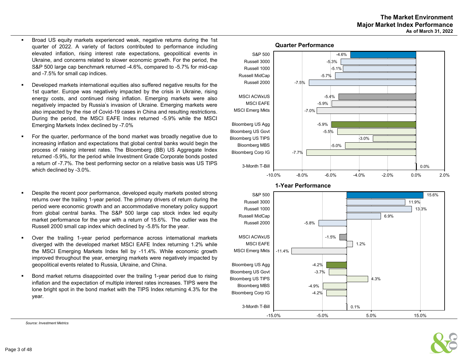- Broad US equity markets experienced weak, negative returns during the 1st quarter of 2022. A variety of factors contributed to performance including elevated inflation, rising interest rate expectations, geopolitical events in Ukraine, and concerns related to slower economic growth. For the period, the S&P 500 large cap benchmark returned -4.6%, compared to -5.7% for mid-cap and -7.5% for small cap indices.
- Developed markets international equities also suffered negative results for the 1st quarter. Europe was negatively impacted by the crisis in Ukraine, rising energy costs, and continued rising inflation. Emerging markets were also negatively impacted by Russia's invasion of Ukraine. Emerging markets were also impacted by the rise of Covid-19 cases in China and resulting restrictions. During the period, the MSCI EAFE Index returned -5.9% while the MSCI Emerging Markets Index declined by -7.0%
- For the quarter, performance of the bond market was broadly negative due to increasing inflation and expectations that global central banks would begin the process of raising interest rates. The Bloomberg (BB) US Aggregate Index returned -5.9%, for the period while Investment Grade Corporate bonds posted a return of -7.7%. The best performing sector on a relative basis was US TIPS which declined by -3.0%.
- **Despite the recent poor performance, developed equity markets posted strong** returns over the trailing 1-year period. The primary drivers of return during the period were economic growth and an accommodative monetary policy support from global central banks. The S&P 500 large cap stock index led equity market performance for the year with a return of 15.6%. The outlier was the Russell 2000 small cap index which declined by -5.8% for the year.
- Over the trailing 1-year period performance across international markets diverged with the developed market MSCI EAFE Index returning 1.2% while the MSCI Emerging Markets Index fell by -11.4%. While economic growth improved throughout the year, emerging markets were negatively impacted by geopolitical events related to Russia, Ukraine, and China.
- Bond market returns disappointed over the trailing 1-year period due to rising inflation and the expectation of multiple interest rates increases. TIPS were the lone bright spot in the bond market with the TIPS Index returning 4.3% for the year.

*Source: Investment Metrics*



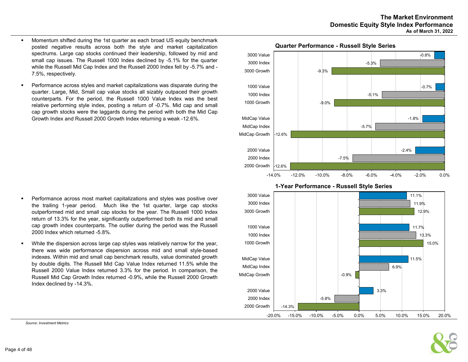- Momentum shifted during the 1st quarter as each broad US equity benchmark posted negative results across both the style and market capitalization spectrums. Large cap stocks continued their leadership, followed by mid and small cap issues. The Russell 1000 Index declined by -5.1% for the quarter while the Russell Mid Cap Index and the Russell 2000 Index fell by -5.7% and - 7.5%, respectively.
- Performance across styles and market capitalizations was disparate during the quarter. Large, Mid, Small cap value stocks all sizably outpaced their growth counterparts. For the period, the Russell 1000 Value Index was the best relative performing style index, posting a return of -0.7%. Mid cap and small cap growth stocks were the laggards during the period with both the Mid Cap Growth Index and Russell 2000 Growth Index returning a weak -12.6%.

- Performance across most market capitalizations and styles was positive over the trailing 1-year period. Much like the 1st quarter, large cap stocks outperformed mid and small cap stocks for the year. The Russell 1000 Index return of 13.3% for the year, significantly outperformed both its mid and small cap growth index counterparts. The outlier during the period was the Russell 2000 Index which returned -5.8%.
- While the dispersion across large cap styles was relatively narrow for the year, there was wide performance dispersion across mid and small style-based indexes. Within mid and small cap benchmark results, value dominated growth by double digits. The Russell Mid Cap Value Index returned 11.5% while the Russell 2000 Value Index returned 3.3% for the period. In comparison, the Russell Mid Cap Growth Index returned -0.9%, while the Russell 2000 Growth Index declined by -14.3%.









*Source: Investment Metrics*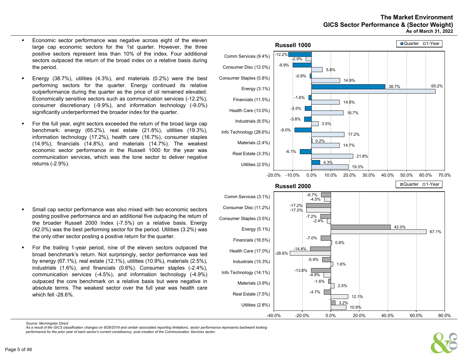- **Economic sector performance was negative across eight of the eleven** large cap economic sectors for the 1st quarter. However, the three positive sectors represent less than 10% of the index. Four additional sectors outpaced the return of the broad index on a relative basis during the period.
- Energy (38.7%), utilities (4.3%), and materials (0.2%) were the best performing sectors for the quarter. Energy continued its relative outperformance during the quarter as the price of oil remained elevated. Economically sensitive sectors such as communication services (-12.2%), consumer discretionary (-9.9%), and information technology (-9.0%) significantly underperformed the broader index for the quarter.
- For the full year, eight sectors exceeded the return of the broad large cap benchmark: energy (65.2%), real estate (21.8%), utilities (19.3%), information technology (17.2%), health care (16.7%), consumer staples (14.9%), financials (14.8%), and materials (14.7%). The weakest economic sector performance in the Russell 1000 for the year was communication services, which was the lone sector to deliver negative returns (-2.9%).

- Small cap sector performance was also mixed with two economic sectors posting positive performance and an additional five outpacing the return of the broader Russell 2000 Index (-7.5%) on a relative basis. Energy (42.0%) was the best performing sector for the period. Utilities (3.2%) was the only other sector posting a positive return for the quarter.
- For the trailing 1-year period, nine of the eleven sectors outpaced the broad benchmark's return. Not surprisingly, sector performance was led by energy (67.1%), real estate (12.1%), utilities (10.9%), materials (2.5%), industrials (1.6%), and financials (0.6%). Consumer staples (-2.4%), communication services (-4.5%), and information technology (-4.9%) outpaced the core benchmark on a relative basis but were negative in absolute terms. The weakest sector over the full year was health care which fell -28.6%.



As a result of the GICS classification changes on 9/28/2018 and certain associated reporting limitations, sector performance represents backward looking *performance for the prior year of each sector's current constituency, post creation of the Communication Services sector.* 



*Source: Morningstar Direct*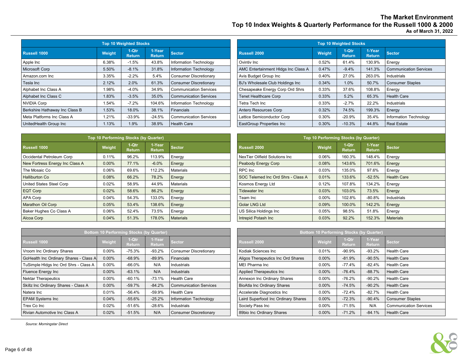**The Market Environment Top 10 Index Weights & Quarterly Performance for the Russell 1000 & 2000 As of March 31, 2022**

|                                |        | <b>Top 10 Weighted Stocks</b> |                         |                               |                                     |        | <b>Top 10 Weighted Stocks</b> |                         |                               |
|--------------------------------|--------|-------------------------------|-------------------------|-------------------------------|-------------------------------------|--------|-------------------------------|-------------------------|-------------------------------|
| Russell 1000                   | Weight | 1-Qtr<br><b>Return</b>        | 1-Year<br><b>Return</b> | <b>Sector</b>                 | Russell 2000                        | Weight | 1-Qtr<br><b>Return</b>        | 1-Year<br><b>Return</b> | <b>Sector</b>                 |
| Apple Inc                      | 6.38%  | $-1.5%$                       | 43.8%                   | Information Technology        | Ovintiv Inc                         | 0.52%  | 61.4%                         | 130.9%                  | Energy                        |
| Microsoft Corp                 | 5.50%  | $-8.1%$                       | 31.8%                   | Information Technology        | AMC Entertainment HIdgs Inc Class A | 0.47%  | $-9.4%$                       | 141.3%                  | <b>Communication Services</b> |
| Amazon.com Inc                 | 3.35%  | $-2.2%$                       | 5.4%                    | <b>Consumer Discretionary</b> | Avis Budget Group Inc               | 0.40%  | 27.0%                         | 263.0%                  | Industrials                   |
| Tesla Inc                      | 2.12%  | 2.0%                          | 61.3%                   | <b>Consumer Discretionary</b> | BJ's Wholesale Club Holdings Inc    | 0.34%  | 1.0%                          | 50.7%                   | <b>Consumer Staples</b>       |
| Alphabet Inc Class A           | 1.98%  | $-4.0%$                       | 34.9%                   | <b>Communication Services</b> | Chesapeake Energy Corp Ord Shrs     | 0.33%  | 37.6%                         | 108.8%                  | Energy                        |
| Alphabet Inc Class C           | 1.83%  | $-3.5%$                       | 35.0%                   | <b>Communication Services</b> | <b>Tenet Healthcare Corp</b>        | 0.33%  | 5.2%                          | 65.3%                   | <b>Health Care</b>            |
| NVIDIA Corp                    | 1.54%  | $-7.2%$                       | 104.6%                  | Information Technology        | Tetra Tech Inc                      | 0.33%  | $-2.7%$                       | 22.2%                   | Industrials                   |
| Berkshire Hathaway Inc Class B | 1.53%  | 18.0%                         | 38.1%                   | Financials                    | Antero Resources Corp               | 0.32%  | 74.5%                         | 199.3%                  | Energy                        |
| Meta Platforms Inc Class A     | 1.21%  | $-33.9%$                      | $-24.5%$                | <b>Communication Services</b> | Lattice Semiconductor Corp          | 0.30%  | $-20.9%$                      | 35.4%                   | Information Technology        |
| UnitedHealth Group Inc         | 1.13%  | 1.9%                          | 38.9%                   | <b>Health Care</b>            | EastGroup Properties Inc            | 0.30%  | $-10.3%$                      | 44.8%                   | Real Estate                   |

|                         |                               |                                     |        | Top 10 Weighted Stocks   |                         |                               |
|-------------------------|-------------------------------|-------------------------------------|--------|--------------------------|-------------------------|-------------------------------|
| 1-Year<br><b>Return</b> | <b>Sector</b>                 | Russell 2000                        | Weight | $1-Qtr$<br><b>Return</b> | 1-Year<br><b>Return</b> | <b>Sector</b>                 |
| 43.8%                   | Information Technology        | Ovintiv Inc.                        | 0.52%  | 61.4%                    | 130.9%                  | Energy                        |
| 31.8%                   | Information Technology        | AMC Entertainment HIdgs Inc Class A | 0.47%  | $-9.4%$                  | 141.3%                  | <b>Communication Services</b> |
| 5.4%                    | <b>Consumer Discretionary</b> | Avis Budget Group Inc               | 0.40%  | 27.0%                    | 263.0%                  | Industrials                   |
| 61.3%                   | <b>Consumer Discretionary</b> | BJ's Wholesale Club Holdings Inc    | 0.34%  | 1.0%                     | 50.7%                   | <b>Consumer Staples</b>       |
| 34.9%                   | <b>Communication Services</b> | Chesapeake Energy Corp Ord Shrs     | 0.33%  | 37.6%                    | 108.8%                  | Energy                        |
| 35.0%                   | <b>Communication Services</b> | <b>Tenet Healthcare Corp</b>        | 0.33%  | 5.2%                     | 65.3%                   | <b>Health Care</b>            |
| 104.6%                  | Information Technology        | Tetra Tech Inc                      | 0.33%  | $-2.7%$                  | 22.2%                   | Industrials                   |
| 38.1%                   | <b>Financials</b>             | Antero Resources Corp               | 0.32%  | 74.5%                    | 199.3%                  | Energy                        |
| -24.5%                  | <b>Communication Services</b> | attice Semiconductor Corp           | 0.30%  | $-20.9%$                 | 35.4%                   | Information Technology        |
| 38.9%                   | <b>Health Care</b>            | EastGroup Properties Inc            | 0.30%  | $-10.3%$                 | 44.8%                   | <b>Real Estate</b>            |

| Top 10 Performing Stocks (by Quarter) |          |                        |                         |                  |  | Top 10 Performing Stocks (by Quarter) |        |                        |                         |                    |  |
|---------------------------------------|----------|------------------------|-------------------------|------------------|--|---------------------------------------|--------|------------------------|-------------------------|--------------------|--|
| Russell 1000                          | Weight   | 1-Qtr<br><b>Return</b> | 1-Year<br><b>Return</b> | <b>Sector</b>    |  | Russell 2000                          | Weight | 1-Qtr<br><b>Return</b> | 1-Year<br><b>Return</b> | <b>Sector</b>      |  |
| Occidental Petroleum Corp             | 0.11%    | 96.2%                  | 113.9%                  | Energy           |  | NexTier Oilfield Solutions Inc        | 0.06%  | 160.3%                 | 148.4%                  | Energy             |  |
| New Fortress Energy Inc Class A       | $0.00\%$ | 77.1%                  | $-6.0%$                 | Energy           |  | Peabody Energy Corp                   | 0.08%  | 143.6%                 | 701.6%                  | Energy             |  |
| The Mosaic Co                         | 0.06%    | 69.6%                  | 112.2%                  | Materials        |  | RPC Inc                               | 0.03%  | 135.0%                 | 97.6%                   | Energy             |  |
| <b>Halliburton Co</b>                 | 0.08%    | 66.2%                  | 78.2%                   | Energy           |  | SOC Telemed Inc Ord Shrs - Class A    | 0.01%  | 133.6%                 | $-52.5%$                | <b>Health Care</b> |  |
| United States Steel Corp              | 0.02%    | 58.9%                  | 44.9%                   | Materials        |  | Kosmos Energy Ltd                     | 0.12%  | 107.8%                 | 134.2%                  | Energy             |  |
| <b>EQT Corp</b>                       | 0.02%    | 58.6%                  | 86.2%                   | Energy           |  | Tidewater Inc                         | 0.03%  | 103.0%                 | 73.5%                   | Energy             |  |
| APA Corp                              | 0.04%    | 54.3%                  | 133.0%                  | Energy           |  | Team Inc                              | 0.00%  | 102.8%                 | $-80.8%$                | Industrials        |  |
| Marathon Oil Corp                     | 0.05%    | 53.4%                  | 138.6%                  | Energy           |  | Golar LNG Ltd                         | 0.09%  | 100.0%                 | 142.2%                  | Energy             |  |
| Baker Hughes Co Class A               | 0.06%    | 52.4%                  | 73.5%                   | Energy           |  | US Silica Holdings Inc                | 0.05%  | 98.5%                  | 51.8%                   | Energy             |  |
| Alcoa Corp                            | 0.04%    | 51.3%                  | 178.0%                  | <b>Materials</b> |  | Intrepid Potash Inc                   | 0.03%  | 92.2%                  | 152.3%                  | <b>Materials</b>   |  |

| uarter)                 |                  |                                    | Top 10 Performing Stocks (by Quarter) |                          |                         |                    |
|-------------------------|------------------|------------------------------------|---------------------------------------|--------------------------|-------------------------|--------------------|
| 1-Year<br><b>Return</b> | <b>Sector</b>    | Russell 2000                       | Weight                                | $1-Qtr$<br><b>Return</b> | 1-Year<br><b>Return</b> | Sector             |
| 113.9%                  | Energy           | NexTier Oilfield Solutions Inc     | 0.06%                                 | 160.3%                   | 148.4%                  | Energy             |
| $-6.0%$                 | Energy           | Peabody Energy Corp                | 0.08%                                 | 143.6%                   | 701.6%                  | Energy             |
| 112.2%                  | <b>Materials</b> | RPC Inc                            | 0.03%                                 | 135.0%                   | 97.6%                   | Energy             |
| 78.2%                   | Energy           | SOC Telemed Inc Ord Shrs - Class A | 0.01%                                 | 133.6%                   | $-52.5%$                | <b>Health Care</b> |
| 44.9%                   | <b>Materials</b> | Kosmos Energy Ltd                  | 0.12%                                 | 107.8%                   | 134.2%                  | Energy             |
| 86.2%                   | Energy           | <b>Tidewater Inc</b>               | 0.03%                                 | 103.0%                   | 73.5%                   | Energy             |
| 133.0%                  | Energy           | Team Inc                           | $0.00\%$                              | 102.8%                   | -80.8%                  | Industrials        |
| 138.6%                  | Energy           | <b>Golar LNG Ltd</b>               | 0.09%                                 | 100.0%                   | 142.2%                  | Energy             |
| 73.5%                   | Energy           | US Silica Holdings Inc             | 0.05%                                 | 98.5%                    | 51.8%                   | Energy             |
| 178.0%                  | <b>Materials</b> | Intrepid Potash Inc                | 0.03%                                 | 92.2%                    | 152.3%                  | <b>Materials</b>   |
|                         |                  |                                    |                                       |                          |                         |                    |

|                                        |          | Bottom 10 Performing Stocks (by Quarter) |                         |                               |                                     | Bottom 10 Performing Stocks (by Quarter) |                   |                         |                               |
|----------------------------------------|----------|------------------------------------------|-------------------------|-------------------------------|-------------------------------------|------------------------------------------|-------------------|-------------------------|-------------------------------|
| Russell 1000                           | Weight   | 1-Qtr<br><b>Return</b>                   | 1-Year<br><b>Return</b> | <b>Sector</b>                 | Russell 2000                        | Weight                                   | $1-Qtr$<br>Return | 1-Year<br><b>Return</b> | <b>Sector</b>                 |
| Vroom Inc Ordinary Shares              | 0.00%    | $-75.3%$                                 | $-93.2\%$               | <b>Consumer Discretionary</b> | Kodiak Sciences Inc                 | 0.01%                                    | -90.9%            | $-93.2%$                | <b>Health Care</b>            |
| GoHealth Inc Ordinary Shares - Class A | 0.00%    | $-68.9%$                                 | $-89.9%$                | Financials                    | Aligos Therapeutics Inc Ord Shares  | 0.00%                                    | $-81.9%$          | $-90.5%$                | <b>Health Care</b>            |
| TuSimple HIdgs Inc Ord Shrs - Class A  | 0.00%    | $-66.0\%$                                | N/A                     | Industrials                   | MEI Pharma Inc                      | $0.00\%$                                 | $-77.4%$          | $-82.4%$                | <b>Health Care</b>            |
| Fluence Energy Inc                     | $0.00\%$ | $-63.1%$                                 | N/A                     | Industrials                   | Applied Therapeutics Inc            | $0.00\%$                                 | $-76.4%$          | $-88.7%$                | <b>Health Care</b>            |
| <b>Nektar Therapeutics</b>             | 0.00%    | $-60.1%$                                 | $-73.1%$                | <b>Health Care</b>            | Annexon Inc Ordinary Shares         | $0.00\%$                                 | $-76.2%$          | $-90.2%$                | <b>Health Care</b>            |
| Skillz Inc Ordinary Shares - Class A   | $0.00\%$ | $-59.7%$                                 | $-84.2%$                | <b>Communication Services</b> | <b>BioAtla Inc Ordinary Shares</b>  | $0.00\%$                                 | $-74.5%$          | $-90.2%$                | <b>Health Care</b>            |
| Natera Inc                             | 0.01%    | $-56.4%$                                 | -59.9%                  | <b>Health Care</b>            | Accelerate Diagnostics Inc          | 0.00%                                    | $-72.4%$          | $-82.7%$                | <b>Health Care</b>            |
| <b>EPAM Systems Inc</b>                | 0.04%    | $-55.6%$                                 | $-25.2%$                | Information Technology        | Laird Superfood Inc Ordinary Shares | 0.00%                                    | $-72.3%$          | $-90.4%$                | <b>Consumer Staples</b>       |
| Trex Co Inc                            | 0.02%    | $-51.6%$                                 | $-28.6%$                | Industrials                   | Society Pass Inc                    | $0.00\%$                                 | $-71.5%$          | N/A                     | <b>Communication Services</b> |
| Rivian Automotive Inc Class A          | 0.02%    | $-51.5%$                                 | N/A                     | <b>Consumer Discretionary</b> | 89bio Inc Ordinary Shares           | 0.00%                                    | $-71.2%$          | $-84.1%$                | <b>Health Care</b>            |

*Source: Morningstar Direct*

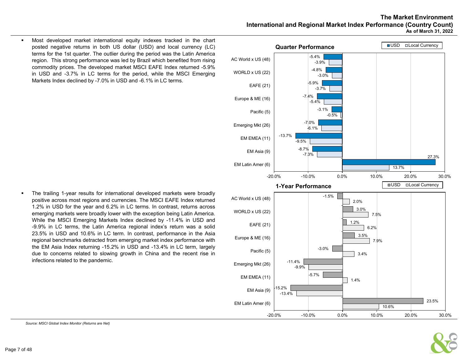- 13.7% -7.3% -9.5% -6.1% -0.5% -5.4% -3.7% -3.0% -3.9% 27.3% -8.7% -13.7% -7.0% -3.1% -7.4% -5.9% -4.8% -5.4% -20.0% -10.0% 0.0% 10.0% 20.0% 30.0% EM Latin Amer (6) EM Asia (9) EM EMEA (11) Emerging Mkt (26) Pacific (5) Europe & ME (16) EAFE (21) WORLD x US (22) AC World x US (48) **Quarter Performance** USD DUSD Currency 10.6%  $-13.4\%$ 1.4% -9.9% 3.4% 7.9% 6.2% 7.5% 2.0% 23.5% -15.2% -5.7% -11.4% -3.0% 3.5% 1.2% 3.0% -1.5% -20.0% -10.0% 0.0% 10.0% 20.0% 30.0% EM Latin Amer (6) EM Asia (9) EM EMEA (11) Emerging Mkt (26) Pacific (5) Europe & ME (16) EAFE (21) WORLD x US (22) AC World x US (48) **1-Year Performance I I**USD **IDOCAL Currency**
- posted negative returns in both US dollar (USD) and local currency (LC) terms for the 1st quarter. The outlier during the period was the Latin America region. This strong performance was led by Brazil which benefited from rising commodity prices. The developed market MSCI EAFE Index returned -5.9% in USD and -3.7% in LC terms for the period, while the MSCI Emerging Markets Index declined by -7.0% in USD and -6.1% in LC terms.

Most developed market international equity indexes tracked in the chart

 The trailing 1-year results for international developed markets were broadly positive across most regions and currencies. The MSCI EAFE Index returned 1.2% in USD for the year and 6.2% in LC terms. In contrast, returns across emerging markets were broadly lower with the exception being Latin America. While the MSCI Emerging Markets Index declined by -11.4% in USD and -9.9% in LC terms, the Latin America regional index's return was a solid 23.5% in USD and 10.6% in LC term. In contrast, performance in the Asia regional benchmarks detracted from emerging market index performance with the EM Asia Index returning -15.2% in USD and -13.4% in LC term, largely due to concerns related to slowing growth in China and the recent rise in infections related to the pandemic.

Page 7 of 48

*Source: MSCI Global Index Monitor (Returns are Net)*

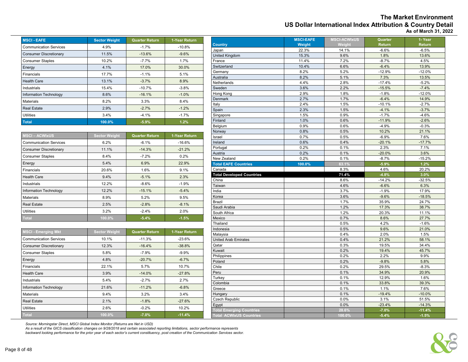**The Market Environment**

# **US Dollar International Index Attribution & Country Detail**

**As of March 31, 2022**

| <b>MSCI-EAFE</b>              | <b>Sector Weight</b> | <b>Quarter Return</b> | 1-Year Return |
|-------------------------------|----------------------|-----------------------|---------------|
| <b>Communication Services</b> | 4.9%                 | $-1.7%$               | $-10.8%$      |
| <b>Consumer Discretionary</b> | 11.5%                | $-13.6%$              | $-9.6%$       |
| <b>Consumer Staples</b>       | 10.2%                | $-7.7%$               | 1.7%          |
| Energy                        | 4.1%                 | 17.0%                 | 30.0%         |
| Financials                    | 17.7%                | $-1.1%$               | 5.1%          |
| <b>Health Care</b>            | 13.1%                | $-3.7%$               | 8.9%          |
| Industrials                   | 15.4%                | $-10.7%$              | $-3.8%$       |
| Information Technology        | 8.6%                 | $-16.1%$              | $-1.0%$       |
| Materials                     | 8.2%                 | 3.3%                  | 8.4%          |
| <b>Real Estate</b>            | 2.9%                 | $-2.7%$               | $-1.2%$       |
| Utilities                     | 3.4%                 | $-4.1%$               | $-1.7%$       |
| <b>Total</b>                  | 100.0%               | $-5.9%$               | 1.2%          |

| <b>MSCI-ACWIXUS</b>           | <b>Sector Weight</b> | <b>Quarter Return</b> | 1-Year Return |
|-------------------------------|----------------------|-----------------------|---------------|
| <b>Communication Services</b> | 6.2%                 | $-6.1%$               | $-16.6%$      |
| <b>Consumer Discretionary</b> | 11.1%                | $-14.3%$              | $-21.2%$      |
| <b>Consumer Staples</b>       | 8.4%                 | $-7.2%$               | 0.2%          |
| Energy                        | 5.4%                 | 6.9%                  | 22.9%         |
| Financials                    | 20.6%                | 1.6%                  | 9.1%          |
| <b>Health Care</b>            | 9.4%                 | $-5.1%$               | 2.3%          |
| Industrials                   | 12.2%                | $-8.6%$               | $-1.9%$       |
| Information Technology        | 12.2%                | $-15.1%$              | $-5.4%$       |
| <b>Materials</b>              | 8.9%                 | 5.2%                  | 9.5%          |
| <b>Real Estate</b>            | 2.5%                 | $-2.8%$               | $-8.1%$       |
| <b>Utilities</b>              | 3.2%                 | $-2.4%$               | 2.0%          |
| <b>Total</b>                  | 100.0%               | $-5.4%$               | $-1.5%$       |

| <b>MSCI - Emerging Mkt</b>    | <b>Sector Weight</b> | <b>Quarter Return</b> | 1-Year Return |
|-------------------------------|----------------------|-----------------------|---------------|
| <b>Communication Services</b> | 10.1%                | $-11.3%$              | $-23.6%$      |
| <b>Consumer Discretionary</b> | 12.3%                | $-16.4%$              | $-38.8%$      |
| <b>Consumer Staples</b>       | 5.8%                 | $-7.9%$               | $-9.9%$       |
| Energy                        | 4.8%                 | $-20.7%$              | $-6.7%$       |
| Financials                    | 22.1%                | 5.7%                  | 10.7%         |
| <b>Health Care</b>            | 3.9%                 | $-14.0%$              | $-27.8%$      |
| Industrials                   | 5.4%                 | $-2.7%$               | 2.7%          |
| Information Technology        | 21.6%                | $-11.2%$              | $-6.8%$       |
| Materials                     | 9.4%                 | 3.2%                  | 3.4%          |
| <b>Real Estate</b>            | 2.1%                 | $-1.8%$               | $-27.6%$      |
| <b>Utilities</b>              | 2.6%                 | $-0.2%$               | 10.2%         |
| <b>Total</b>                  | 100.0%               | $-7.0%$               | $-11.4%$      |

|                                  | <b>MSCI-EAFE</b> | <b>MSCI-ACWIxUS</b> | Quarter  | 1- Year  |
|----------------------------------|------------------|---------------------|----------|----------|
| Country                          | Weight           | Weight              | Return   | Return   |
| Japan                            | 22.3%            | 14.1%               | $-6.6%$  | $-6.5%$  |
| <b>United Kingdom</b>            | 15.3%            | 9.6%                | 1.8%     | 13.6%    |
| France                           | 11.4%            | 7.2%                | $-8.7%$  | 4.5%     |
| Switzerland                      | 10.4%            | 6.6%                | $-6.4%$  | 13.9%    |
| Germany                          | 8.2%             | 5.2%                | $-12.9%$ | $-12.0%$ |
| Australia                        | 8.2%             | 5.1%                | 7.3%     | 13.5%    |
| Netherlands                      | 4.4%             | 2.8%                | $-17.4%$ | $-5.2%$  |
| Sweden                           | 3.6%             | 2.2%                | $-15.5%$ | $-7.4%$  |
| Hong Kong                        | 2.9%             | 1.8%                | $-1.8%$  | $-12.0%$ |
| Denmark                          | 2.7%             | 1.7%                | $-6.4%$  | 14.9%    |
| Italy                            | 2.4%             | 1.5%                | $-10.1%$ | $-2.7%$  |
| Spain                            | 2.3%             | 1.5%                | $-4.1%$  | $-3.7%$  |
| Singapore                        | 1.5%             | 0.9%                | $-1.7%$  | $-4.6%$  |
| Finland                          | 1.0%             | 0.6%                | $-11.9%$ | $-2.6%$  |
| Belgium                          | 0.9%             | 0.6%                | $-4.9%$  | $-0.3%$  |
| Norway                           | 0.8%             | 0.5%                | 10.2%    | 21.1%    |
| Israel                           | 0.7%             | 0.5%                | $-6.9%$  | 7.6%     |
| Ireland                          | 0.6%             | 0.4%                | $-20.1%$ | $-17.7%$ |
| Portugal                         | 0.2%             | 0.1%                | 2.3%     | 7.1%     |
| Austria                          | 0.2%             | 0.1%                | $-20.0%$ | 3.6%     |
| New Zealand                      | 0.2%             | 0.1%                | $-8.7%$  | $-15.2%$ |
| <b>Total EAFE Countries</b>      | 100.0%           | 63.1%               | $-5.9%$  | 1.2%     |
| Canada                           |                  | 8.3%                | 4.6%     | 20.2%    |
| <b>Total Developed Countries</b> |                  | 71.4%               | $-4.8%$  | 3.0%     |
| China                            |                  | 8.6%                | $-14.2%$ | $-32.5%$ |
| Taiwan                           |                  | 4.6%                | $-6.6%$  | 6.3%     |
| India                            |                  | 3.7%                | $-1.9%$  | 17.9%    |
| Korea                            |                  | 3.6%                | $-9.6%$  | $-18.5%$ |
| Brazil                           |                  | 1.7%                | 35.9%    | 24.7%    |
| Saudi Arabia                     |                  | 1.2%                | 17.3%    | 38.7%    |
| South Africa                     |                  | 1.2%                | 20.3%    | 11.1%    |
| Mexico                           |                  | 0.7%                | 8.6%     | 27.7%    |
| Thailand                         |                  | 0.5%                | 4.2%     | $-1.6%$  |
| Indonesia                        |                  | 0.5%                | 9.6%     | 21.0%    |
| Malaysia                         |                  | 0.4%                | 2.0%     | 1.5%     |
| <b>United Arab Emirates</b>      |                  | 0.4%                | 21.2%    | 58.1%    |
| Qatar                            |                  | 0.3%                | 19.5%    | 34.4%    |
| Kuwait                           |                  | 0.2%                | 19.4%    | 45.7%    |
| Philippines                      |                  | 0.2%                | 2.2%     | 9.9%     |
| Poland                           |                  | 0.2%                | $-9.8%$  | 5.8%     |
| Chile                            |                  | 0.2%                | 29.5%    | $-8.3%$  |
| Peru                             |                  | 0.1%                | 34.9%    | 20.9%    |
|                                  |                  |                     |          |          |
| Turkey                           |                  | 0.1%                | 12.9%    | 1.6%     |
| Colombia                         |                  | 0.1%                | 33.8%    | 39.3%    |
| Greece                           |                  | 0.1%                | 1.1%     | 7.6%     |
| Hungary                          |                  | 0.1%                | $-19.4%$ | $-10.0%$ |
| Czech Republic                   |                  | 0.0%                | 3.1%     | 51.5%    |
| Egypt                            |                  | 0.0%                | $-23.4%$ | $-14.3%$ |
| <b>Total Emerging Countries</b>  |                  | 28.6%               | $-7.0%$  | $-11.4%$ |
| <b>Total ACWIxUS Countries</b>   |                  | 100.0%              | $-5.4%$  | $-1.5%$  |

*Source: Morningstar Direct, MSCI Global Index Monitor (Returns are Net in USD)*

As a result of the GICS classification changes on 9/28/2018 and certain associated reporting limitations, sector performance represents<br>backward looking performance for the prior year of each sector's current constituency,

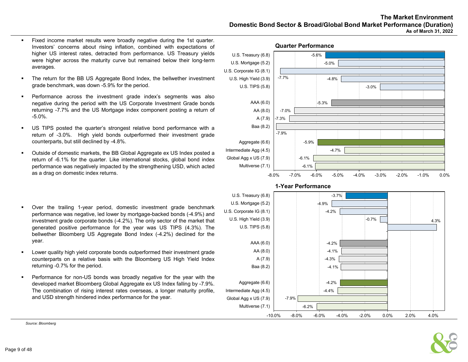#### **The Market Environment Domestic Bond Sector & Broad/Global Bond Market Performance (Duration) As of March 31, 2022**

- Fixed income market results were broadly negative during the 1st quarter. Investors' concerns about rising inflation, combined with expectations of higher US interest rates, detracted from performance. US Treasury yields were higher across the maturity curve but remained below their long-term averages.
- The return for the BB US Aggregate Bond Index, the bellwether investment grade benchmark, was down -5.9% for the period.
- Performance across the investment grade index's segments was also negative during the period with the US Corporate Investment Grade bonds returning -7.7% and the US Mortgage index component posting a return of -5.0%.
- US TIPS posted the quarter's strongest relative bond performance with a return of -3.0%. High yield bonds outperformed their investment grade counterparts, but still declined by -4.8%.
- Outside of domestic markets, the BB Global Aggregate ex US Index posted a return of -6.1% for the quarter. Like international stocks, global bond index performance was negatively impacted by the strengthening USD, which acted as a drag on domestic index returns.
- Over the trailing 1-year period, domestic investment grade benchmark performance was negative, led lower by mortgage-backed bonds (-4.9%) and investment grade corporate bonds (-4.2%). The only sector of the market that generated positive performance for the year was US TIPS (4.3%). The bellwether Bloomberg US Aggregate Bond Index (-4.2%) declined for the year.
- Lower quality high yield corporate bonds outperformed their investment grade counterparts on a relative basis with the Bloomberg US High Yield Index returning -0.7% for the period.
- **Performance for non-US bonds was broadly negative for the year with the** developed market Bloomberg Global Aggregate ex US Index falling by -7.9%. The combination of rising interest rates overseas, a longer maturity profile, and USD strength hindered index performance for the year.





#### **1-Year Performance**



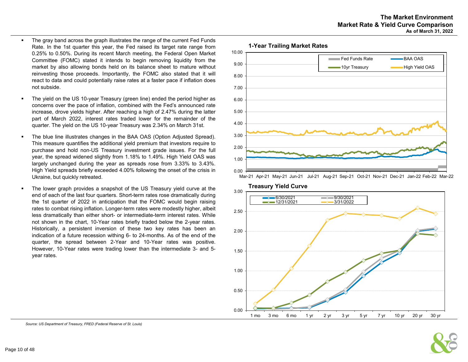- The gray band across the graph illustrates the range of the current Fed Funds Rate. In the 1st quarter this year, the Fed raised its target rate range from 0.25% to 0.50%. During its recent March meeting, the Federal Open Market Committee (FOMC) stated it intends to begin removing liquidity from the market by also allowing bonds held on its balance sheet to mature without reinvesting those proceeds. Importantly, the FOMC also stated that it will react to data and could potentially raise rates at a faster pace if inflation does not subside.
- The yield on the US 10-year Treasury (green line) ended the period higher as concerns over the pace of inflation, combined with the Fed's announced rate increase, drove yields higher. After reaching a high of 2.47% during the latter part of March 2022, interest rates traded lower for the remainder of the quarter. The yield on the US 10-year Treasury was 2.34% on March 31st.
- The blue line illustrates changes in the BAA OAS (Option Adjusted Spread). This measure quantifies the additional yield premium that investors require to purchase and hold non-US Treasury investment grade issues. For the full year, the spread widened slightly from 1.18% to 1.49%. High Yield OAS was largely unchanged during the year as spreads rose from 3.33% to 3.43%. High Yield spreads briefly exceeded 4.00% following the onset of the crisis in Ukraine, but quickly retreated.
- The lower graph provides a snapshot of the US Treasury yield curve at the end of each of the last four quarters. Short-term rates rose dramatically during the 1st quarter of 2022 in anticipation that the FOMC would begin raising rates to combat rising inflation. Longer-term rates were modestly higher, albeit less dramatically than either short- or intermediate-term interest rates. While not shown in the chart, 10-Year rates briefly traded below the 2-year rates. Historically, a persistent inversion of these two key rates has been an indication of a future recession withing 6- to 24-months. As of the end of the quarter, the spread between 2-Year and 10-Year rates was positive. However, 10-Year rates were trading lower than the intermediate 3- and 5 year rates.







*Source: US Department of Treasury, FRED (Federal Reserve of St. Louis)*

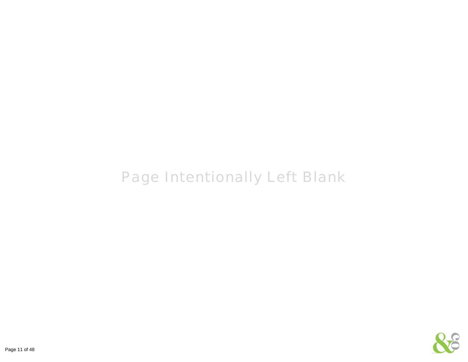# Page Intentionally Left Blank

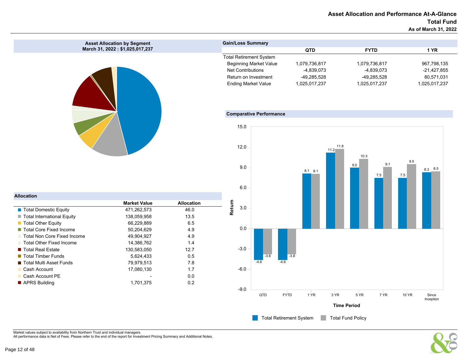## **Asset Allocation and Performance At-A-Glance Total Fund As of March 31, 2022**

#### **Gain/Loss Summary QTD FYTD 1 YR** Total Retirement System Beginning Market Value 1,079,736,817 1,079,736,817 967,798,135 Net Contributions 4.839,073 -4,839,073 -21,427,855 Return on Investment 49,285,528 -49,285,528 80,571,031 Ending Market Value 1,025,017,237 1,025,017,237 1,025,017,237 **Asset Allocation by Segment March 31, 2022 : \$1,025,017,237**

#### **Comparative Performance**





| Allocation |
|------------|
|------------|

| Allocation                   |                     |                   |
|------------------------------|---------------------|-------------------|
|                              | <b>Market Value</b> | <b>Allocation</b> |
| ■ Total Domestic Equity      | 471.262.573         | 46.0              |
| ■ Total International Equity | 138,059,958         | 13.5              |
| ■ Total Other Equity         | 66,229,889          | 6.5               |
| ■ Total Core Fixed Income    | 50.204.629          | 4.9               |
| Total Non Core Fixed Income  | 49.904.927          | 4.9               |
| Total Other Fixed Income     | 14.386.762          | 1.4               |
| ■ Total Real Estate          | 130.583.050         | 12.7              |
| ■ Total Timber Funds         | 5.624.433           | 0.5               |
| ■ Total Multi Asset Funds    | 79.979.513          | 7.8               |
| Cash Account                 | 17,080,130          | 1.7               |
| Cash Account PE              |                     | 0.0               |
| APRS Building                | 1.701.375           | 0.2               |
|                              |                     |                   |

Market values subject to availability from Northern Trust and individual managers.

All performance data is Net of Fees. Please refer to the end of the report for Investment Pricing Summary and Additional Notes.

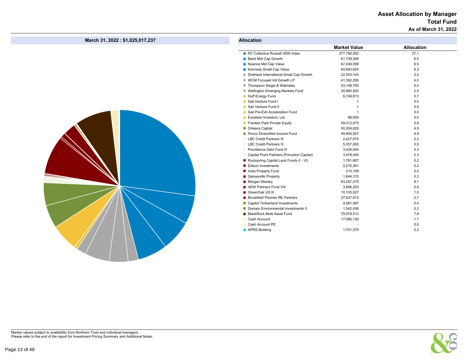| ■ NT Collective Russell 3000 Index<br><b>Baird Mid Cap Growth</b><br>Nuance Mid Cap Value<br>Kennedy Small Cap Value<br>Driehaus International Small Cap Growth<br>■ WCM Focused Intl Growth LP<br>Thompson Siegel & Walmsley<br>■ Wellington Emerging Markets Fund<br><b>Huff Energy Fund</b><br>Sail Venture Fund I<br>Sail Venture Fund II<br>Sail Pre-Exit Acceleration Fund<br>Excelsior Investors, Ltd.<br>Franklin Park Private Equity | <b>Market Value</b><br>277,790,002<br>61,739,348<br>67,049,599<br>64,683,624<br>22,553,143<br>41,392,295<br>53,149,700<br>20,964,820<br>6,749,813<br>-1<br>$\overline{1}$ | <b>Allocation</b><br>27.1<br>6.0<br>6.5<br>6.3<br>2.2<br>4.0<br>5.2<br>2.0<br>0.7<br>0.0<br>0.0 |
|-----------------------------------------------------------------------------------------------------------------------------------------------------------------------------------------------------------------------------------------------------------------------------------------------------------------------------------------------------------------------------------------------------------------------------------------------|---------------------------------------------------------------------------------------------------------------------------------------------------------------------------|-------------------------------------------------------------------------------------------------|
|                                                                                                                                                                                                                                                                                                                                                                                                                                               |                                                                                                                                                                           |                                                                                                 |
|                                                                                                                                                                                                                                                                                                                                                                                                                                               |                                                                                                                                                                           |                                                                                                 |
|                                                                                                                                                                                                                                                                                                                                                                                                                                               |                                                                                                                                                                           |                                                                                                 |
|                                                                                                                                                                                                                                                                                                                                                                                                                                               |                                                                                                                                                                           |                                                                                                 |
|                                                                                                                                                                                                                                                                                                                                                                                                                                               |                                                                                                                                                                           |                                                                                                 |
|                                                                                                                                                                                                                                                                                                                                                                                                                                               |                                                                                                                                                                           |                                                                                                 |
|                                                                                                                                                                                                                                                                                                                                                                                                                                               |                                                                                                                                                                           |                                                                                                 |
|                                                                                                                                                                                                                                                                                                                                                                                                                                               |                                                                                                                                                                           |                                                                                                 |
|                                                                                                                                                                                                                                                                                                                                                                                                                                               |                                                                                                                                                                           |                                                                                                 |
|                                                                                                                                                                                                                                                                                                                                                                                                                                               |                                                                                                                                                                           |                                                                                                 |
|                                                                                                                                                                                                                                                                                                                                                                                                                                               |                                                                                                                                                                           |                                                                                                 |
|                                                                                                                                                                                                                                                                                                                                                                                                                                               |                                                                                                                                                                           |                                                                                                 |
|                                                                                                                                                                                                                                                                                                                                                                                                                                               |                                                                                                                                                                           | 0.0                                                                                             |
|                                                                                                                                                                                                                                                                                                                                                                                                                                               | 68,000                                                                                                                                                                    | 0.0                                                                                             |
|                                                                                                                                                                                                                                                                                                                                                                                                                                               | 59,412,073                                                                                                                                                                | 5.8                                                                                             |
| Orleans Capital                                                                                                                                                                                                                                                                                                                                                                                                                               | 50,204,629                                                                                                                                                                | 4.9                                                                                             |
| Pimco Diversified Income Fund                                                                                                                                                                                                                                                                                                                                                                                                                 | 49,904,927                                                                                                                                                                | 4.9                                                                                             |
| LBC Credit Partners III                                                                                                                                                                                                                                                                                                                                                                                                                       | 2,427,674                                                                                                                                                                 | 0.2                                                                                             |
| LBC Credit Partners IV                                                                                                                                                                                                                                                                                                                                                                                                                        | 5,057,003                                                                                                                                                                 | 0.5                                                                                             |
| Providence Debt Fund III                                                                                                                                                                                                                                                                                                                                                                                                                      | 3,424,040                                                                                                                                                                 | 0.3                                                                                             |
| Capital Point Partners (Princeton Capital)                                                                                                                                                                                                                                                                                                                                                                                                    | 3,478,045                                                                                                                                                                 | 0.3                                                                                             |
| Rockspring Capital Land Funds (I - VI)                                                                                                                                                                                                                                                                                                                                                                                                        | 1,761,807                                                                                                                                                                 | 0.2                                                                                             |
| Edison Investments                                                                                                                                                                                                                                                                                                                                                                                                                            | 2,275,351                                                                                                                                                                 | 0.2                                                                                             |
| India Property Fund                                                                                                                                                                                                                                                                                                                                                                                                                           | 215,109                                                                                                                                                                   | 0.0                                                                                             |
| Gainesville Property                                                                                                                                                                                                                                                                                                                                                                                                                          | 1,644,315                                                                                                                                                                 | 0.2                                                                                             |
| Morgan Stanley                                                                                                                                                                                                                                                                                                                                                                                                                                | 83,287,275                                                                                                                                                                | 8.1                                                                                             |
| AEW Partners Fund VIII                                                                                                                                                                                                                                                                                                                                                                                                                        | 3,656,253                                                                                                                                                                 | 0.4                                                                                             |
| GreenOak US III                                                                                                                                                                                                                                                                                                                                                                                                                               | 10,105,027                                                                                                                                                                | 1.0                                                                                             |
| <b>Brookfield Premier RE Partners</b>                                                                                                                                                                                                                                                                                                                                                                                                         | 27,637,913                                                                                                                                                                | 2.7                                                                                             |
| Capitol Timberland Investments                                                                                                                                                                                                                                                                                                                                                                                                                | 4,081,997                                                                                                                                                                 | 0.4                                                                                             |
| Domain Environmental Investments II                                                                                                                                                                                                                                                                                                                                                                                                           | 1,542,436                                                                                                                                                                 | 0.2                                                                                             |
| <b>BlackRock Multi Asset Fund</b>                                                                                                                                                                                                                                                                                                                                                                                                             | 79,979,513                                                                                                                                                                | 7.8                                                                                             |
| Cash Account                                                                                                                                                                                                                                                                                                                                                                                                                                  | 17,080,130                                                                                                                                                                | 1.7                                                                                             |
| Cash Account PE                                                                                                                                                                                                                                                                                                                                                                                                                               |                                                                                                                                                                           | 0.0                                                                                             |
| <b>APRS Building</b>                                                                                                                                                                                                                                                                                                                                                                                                                          | 1,701,375                                                                                                                                                                 | 0.2                                                                                             |
|                                                                                                                                                                                                                                                                                                                                                                                                                                               |                                                                                                                                                                           |                                                                                                 |



Market values subject to availability from Northern Trust and individual managers. Please refer to the end of the report for Investment Pricing Summary and Additional Notes.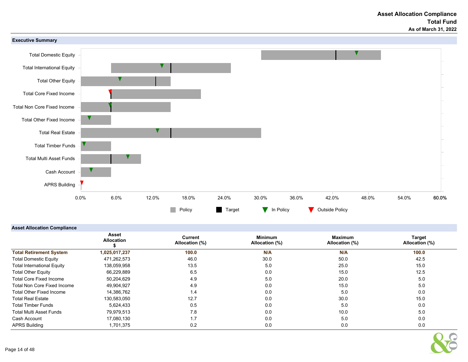## Asset Allocation Compliance Total Fund As of March 31, 2022



#### Asset Allocation Compliance

|                                    | Asset<br><b>Allocation</b> | Current<br>Allocation (%) | <b>Minimum</b><br>Allocation (%) | <b>Maximum</b><br>Allocation (%) | Target<br>Allocation (%) |
|------------------------------------|----------------------------|---------------------------|----------------------------------|----------------------------------|--------------------------|
| <b>Total Retirement System</b>     | 1,025,017,237              | 100.0                     | N/A                              | N/A                              | 100.0                    |
| <b>Total Domestic Equity</b>       | 471,262,573                | 46.0                      | 30.0                             | 50.0                             | 42.5                     |
| <b>Total International Equity</b>  | 138,059,958                | 13.5                      | 5.0                              | 25.0                             | 15.0                     |
| <b>Total Other Equity</b>          | 66,229,889                 | 6.5                       | 0.0                              | 15.0                             | 12.5                     |
| <b>Total Core Fixed Income</b>     | 50,204,629                 | 4.9                       | 5.0                              | 20.0                             | 5.0                      |
| <b>Total Non Core Fixed Income</b> | 49,904,927                 | 4.9                       | 0.0                              | 15.0                             | 5.0                      |
| Total Other Fixed Income           | 14,386,762                 | 1.4                       | 0.0                              | 5.0                              | 0.0                      |
| <b>Total Real Estate</b>           | 130,583,050                | 12.7                      | 0.0                              | 30.0                             | 15.0                     |
| <b>Total Timber Funds</b>          | 5,624,433                  | 0.5                       | 0.0                              | 5.0                              | 0.0                      |
| <b>Total Multi Asset Funds</b>     | 79,979,513                 | 7.8                       | 0.0                              | 10.0                             | 5.0                      |
| Cash Account                       | 17,080,130                 | 1.7                       | 0.0                              | 5.0                              | 0.0                      |
| <b>APRS Building</b>               | 1,701,375                  | 0.2                       | 0.0                              | 0.0                              | 0.0                      |

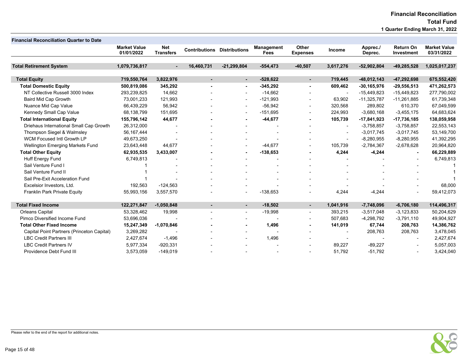| <b>Financial Reconciliation Quarter to Date</b> |                                   |                                |                                    |                          |                           |                          |                          |                     |                                       |                                   |
|-------------------------------------------------|-----------------------------------|--------------------------------|------------------------------------|--------------------------|---------------------------|--------------------------|--------------------------|---------------------|---------------------------------------|-----------------------------------|
|                                                 | <b>Market Value</b><br>01/01/2022 | <b>Net</b><br><b>Transfers</b> | <b>Contributions Distributions</b> |                          | Management<br><b>Fees</b> | Other<br><b>Expenses</b> | Income                   | Apprec./<br>Deprec. | <b>Return On</b><br><b>Investment</b> | <b>Market Value</b><br>03/31/2022 |
|                                                 |                                   |                                |                                    |                          |                           |                          |                          |                     |                                       |                                   |
| <b>Total Retirement System</b>                  | 1,079,736,817                     |                                | 16,460,731                         | $-21,299,804$            | $-554,473$                | $-40,507$                | 3,617,276                | $-52,902,804$       | $-49,285,528$                         | 1,025,017,237                     |
| <b>Total Equity</b>                             | 719,550,764                       | 3,822,976                      | $\sim$                             | $\sim$                   | $-528,622$                | $\sim$                   | 719,445                  | $-48,012,143$       | -47,292,698                           | 675,552,420                       |
| <b>Total Domestic Equity</b>                    | 500,819,086                       | 345,292                        |                                    | $\blacksquare$           | $-345,292$                | $\sim$                   | 609,462                  | $-30,165,976$       | $-29,556,513$                         | 471,262,573                       |
| NT Collective Russell 3000 Index                | 293,239,825                       | 14,662                         |                                    | $\overline{\phantom{a}}$ | $-14,662$                 |                          |                          | $-15,449,823$       | $-15,449,823$                         | 277,790,002                       |
| Baird Mid Cap Growth                            | 73,001,233                        | 121,993                        |                                    | $\overline{\phantom{a}}$ | $-121,993$                |                          | 63,902                   | $-11,325,787$       | $-11,261,885$                         | 61,739,348                        |
| Nuance Mid Cap Value                            | 66,439,229                        | 56,942                         |                                    | $\overline{\phantom{a}}$ | $-56,942$                 | $\overline{\phantom{a}}$ | 320,568                  | 289,802             | 610,370                               | 67,049,599                        |
| Kennedy Small Cap Value                         | 68,138,799                        | 151,695                        |                                    | $\overline{\phantom{a}}$ | $-151,695$                | $\overline{\phantom{a}}$ | 224,993                  | $-3,680,168$        | $-3,455,175$                          | 64,683,624                        |
| <b>Total International Equity</b>               | 155,796,142                       | 44,677                         |                                    | $\blacksquare$           | $-44,677$                 |                          | 105,739                  | -17,841,923         | $-17,736,185$                         | 138,059,958                       |
| Driehaus International Small Cap Growth         | 26,312,000                        |                                |                                    |                          |                           |                          | $\overline{\phantom{a}}$ | $-3,758,857$        | $-3,758,857$                          | 22,553,143                        |
| Thompson Siegel & Walmsley                      | 56,167,444                        |                                |                                    |                          |                           |                          | $\overline{\phantom{a}}$ | $-3,017,745$        | $-3,017,745$                          | 53,149,700                        |
| <b>WCM Focused Intl Growth LP</b>               | 49,673,250                        |                                |                                    |                          |                           |                          | $\blacksquare$           | $-8,280,955$        | $-8,280,955$                          | 41,392,295                        |
| Wellington Emerging Markets Fund                | 23,643,448                        | 44,677                         |                                    | $\overline{\phantom{a}}$ | $-44,677$                 |                          | 105,739                  | $-2,784,367$        | $-2,678,628$                          | 20,964,820                        |
| <b>Total Other Equity</b>                       | 62,935,535                        | 3,433,007                      |                                    |                          | $-138,653$                |                          | 4,244                    | $-4,244$            | $\blacksquare$                        | 66,229,889                        |
| <b>Huff Energy Fund</b>                         | 6,749,813                         |                                |                                    |                          |                           |                          |                          |                     |                                       | 6,749,813                         |
| Sail Venture Fund I                             |                                   |                                |                                    |                          |                           |                          |                          |                     |                                       |                                   |
| Sail Venture Fund II                            |                                   |                                |                                    |                          |                           |                          |                          |                     |                                       |                                   |
| Sail Pre-Exit Acceleration Fund                 |                                   |                                |                                    |                          |                           |                          |                          |                     |                                       |                                   |
| Excelsior Investors, Ltd.                       | 192,563                           | $-124,563$                     |                                    |                          |                           |                          |                          |                     |                                       | 68,000                            |
| Franklin Park Private Equity                    | 55,993,156                        | 3,557,570                      |                                    | $\overline{\phantom{a}}$ | $-138,653$                |                          | 4,244                    | $-4,244$            | $\blacksquare$                        | 59,412,073                        |
| <b>Total Fixed Income</b>                       | 122,271,847                       | $-1,050,848$                   | $\sim$                             | $\sim$                   | $-18,502$                 | ٠.                       | 1,041,916                | $-7,748,096$        | $-6,706,180$                          | 114,496,317                       |
| <b>Orleans Capital</b>                          | 53,328,462                        | 19,998                         |                                    | $\blacksquare$           | $-19,998$                 | $\blacksquare$           | 393,215                  | $-3,517,048$        | $-3,123,833$                          | 50,204,629                        |
| Pimco Diversified Income Fund                   | 53,696,036                        |                                |                                    | $\overline{\phantom{a}}$ |                           | $\blacksquare$           | 507.683                  | $-4,298,792$        | $-3,791,110$                          | 49,904,927                        |
| <b>Total Other Fixed Income</b>                 | 15,247,349                        | $-1,070,846$                   |                                    | $\sim$                   | 1,496                     | ٠                        | 141,019                  | 67,744              | 208,763                               | 14,386,762                        |
| Capital Point Partners (Princeton Capital)      | 3,269,282                         |                                |                                    |                          |                           |                          |                          | 208,763             | 208,763                               | 3,478,045                         |
| <b>LBC Credit Partners III</b>                  | 2,427,674                         | $-1,496$                       |                                    | $\overline{\phantom{a}}$ | 1,496                     |                          |                          |                     |                                       | 2,427,674                         |
| <b>LBC Credit Partners IV</b>                   | 5,977,334                         | $-920,331$                     |                                    |                          |                           |                          | 89,227                   | $-89,227$           |                                       | 5,057,003                         |
| Providence Debt Fund III                        | 3,573,059                         | $-149,019$                     |                                    |                          |                           |                          | 51,792                   | $-51,792$           |                                       | 3,424,040                         |



Please refer to the end of the report for additional notes.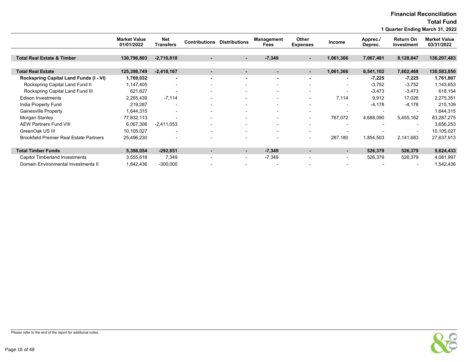# Financial Reconciliation

Total Fund

1 Quarter Ending March 31, 2022

| <b>Market Value</b><br>01/01/2022 | <b>Net</b><br><b>Transfers</b> | <b>Contributions</b>     | <b>Distributions</b>     | Management<br>Fees       | Other<br><b>Expenses</b> | Income                   | Apprec./<br>Deprec.      | <b>Return On</b><br>Investment | <b>Market Value</b><br>03/31/2022 |
|-----------------------------------|--------------------------------|--------------------------|--------------------------|--------------------------|--------------------------|--------------------------|--------------------------|--------------------------------|-----------------------------------|
|                                   |                                |                          |                          |                          |                          |                          |                          |                                |                                   |
| 130,796,803                       | $-2,710,818$                   |                          | н.                       | $-7,349$                 | $\sim$                   | 1,061,366                | 7,067,481                | 8,128,847                      | 136,207,483                       |
|                                   |                                |                          |                          |                          |                          |                          |                          |                                |                                   |
| 125,398,749                       | $-2,418,167$                   | $\blacksquare$           | $\sim$                   | $\overline{\phantom{a}}$ | $\blacksquare$           | 1,061,366                | 6,541,102                | 7,602,468                      | 130,583,050                       |
| 1,769,032                         |                                |                          | $\blacksquare$           |                          | $\blacksquare$           | ۰                        | $-7,225$                 | $-7,225$                       | 1,761,807                         |
| 1,147,405                         |                                | $\overline{\phantom{0}}$ | $\overline{\phantom{a}}$ |                          |                          | $\overline{\phantom{0}}$ | $-3,752$                 | $-3,752$                       | 1,143,653                         |
| 621,627                           |                                | $\overline{\phantom{0}}$ | $\overline{\phantom{a}}$ |                          |                          |                          | $-3,473$                 | $-3,473$                       | 618,154                           |
| 2,265,439                         | $-7,114$                       | -                        | $\overline{\phantom{a}}$ | $\overline{\phantom{0}}$ | $\overline{\phantom{0}}$ | 7,114                    | 9,912                    | 17,026                         | 2,275,351                         |
| 219,287                           |                                | $\overline{\phantom{0}}$ | $\overline{\phantom{0}}$ | $\overline{\phantom{0}}$ |                          | $\overline{\phantom{0}}$ | $-4,178$                 | $-4,178$                       | 215,109                           |
| 1,644,315                         |                                | $\overline{\phantom{0}}$ | $\overline{\phantom{0}}$ |                          |                          | $\overline{\phantom{0}}$ | $\overline{\phantom{a}}$ | $\overline{\phantom{a}}$       | 1,644,315                         |
| 77,832,113                        |                                |                          |                          |                          |                          | 767,072                  | 4,688,090                | 5,455,162                      | 83,287,275                        |
|                                   |                                |                          | $\overline{\phantom{a}}$ | $\overline{\phantom{0}}$ | $\overline{\phantom{0}}$ | $\overline{\phantom{a}}$ | $\blacksquare$           | $\overline{\phantom{0}}$       | 3,656,253                         |
| 10,105,027                        | $\overline{\phantom{a}}$       | $\overline{\phantom{0}}$ | $\overline{\phantom{a}}$ | $\overline{\phantom{0}}$ |                          |                          |                          | $\overline{\phantom{0}}$       | 10,105,027                        |
| 25,496,230                        |                                |                          |                          |                          |                          | 287,180                  | 1,854,503                | 2,141,683                      | 27,637,913                        |
|                                   |                                |                          |                          |                          |                          |                          |                          |                                |                                   |
| 5,398,054                         | $-292,651$                     | $\blacksquare$           | $\sim$                   | $-7,349$                 | ٠                        | $\sim$                   | 526,379                  | 526,379                        | 5,624,433                         |
| 3,555,618                         | 7,349                          | ۰                        | $\blacksquare$           | $-7,349$                 | $\overline{\phantom{0}}$ | $\overline{\phantom{a}}$ | 526,379                  | 526,379                        | 4,081,997                         |
| 1,842,436                         | $-300,000$                     |                          |                          |                          |                          |                          |                          |                                | 1,542,436                         |
|                                   | 6,067,306                      | $-2,411,053$             |                          |                          |                          |                          |                          |                                |                                   |

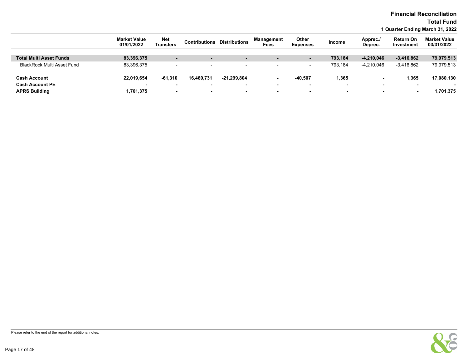1 Quarter Ending March 31, 2022

|                                   |                                   |                         |                          |                          |                          |                          |               |                     | . .                            |                                   |
|-----------------------------------|-----------------------------------|-------------------------|--------------------------|--------------------------|--------------------------|--------------------------|---------------|---------------------|--------------------------------|-----------------------------------|
|                                   | <b>Market Value</b><br>01/01/2022 | <b>Net</b><br>Transfers | Contributions            | <b>Distributions</b>     | Management<br>Fees       | Other<br>Expenses        | <b>Income</b> | Apprec./<br>Deprec. | <b>Return On</b><br>Investment | <b>Market Value</b><br>03/31/2022 |
| <b>Total Multi Asset Funds</b>    | 83,396,375                        |                         |                          | $\overline{\phantom{0}}$ |                          |                          | 793.184       | $-4,210,046$        | $-3,416,862$                   | 79,979,513                        |
| <b>BlackRock Multi Asset Fund</b> | 83,396,375                        |                         | $\overline{\phantom{0}}$ | $\overline{\phantom{0}}$ | $\overline{\phantom{0}}$ | $\overline{\phantom{a}}$ | 793.184       | -4,210,046          | $-3.416.862$                   | 79,979,513                        |
| <b>Cash Account</b>               | 22,019,654                        | $-61,310$               | 16,460,731               | -21,299,804              |                          | $-40,507$                | 1,365         | ٠                   | 1,365                          | 17,080,130                        |
| <b>Cash Account PE</b>            |                                   |                         | -                        |                          |                          |                          |               |                     | $\overline{\phantom{a}}$       |                                   |
| <b>APRS Building</b>              | 1,701,375                         |                         |                          | $\overline{\phantom{a}}$ |                          | ۰                        | $\sim$        | ۰                   |                                | 1,701,375                         |

Please refer to the end of the report for additional notes.

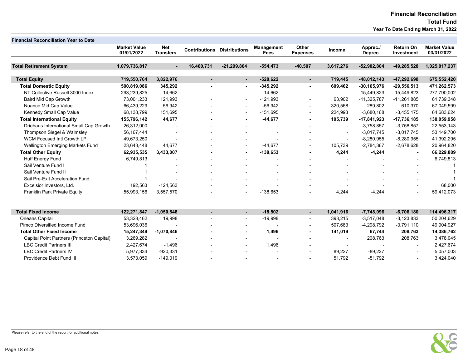| <b>Financial Reconciliation Year to Date</b> |                                   |                                |                      |                          |                    |                          |                          |                     |                                |                                   |
|----------------------------------------------|-----------------------------------|--------------------------------|----------------------|--------------------------|--------------------|--------------------------|--------------------------|---------------------|--------------------------------|-----------------------------------|
|                                              | <b>Market Value</b><br>01/01/2022 | <b>Net</b><br><b>Transfers</b> | <b>Contributions</b> | <b>Distributions</b>     | Management<br>Fees | Other<br><b>Expenses</b> | Income                   | Apprec./<br>Deprec. | <b>Return On</b><br>Investment | <b>Market Value</b><br>03/31/2022 |
|                                              |                                   |                                |                      |                          |                    |                          |                          |                     |                                |                                   |
| <b>Total Retirement System</b>               | 1,079,736,817                     |                                | 16,460,731           | $-21,299,804$            | $-554,473$         | $-40,507$                | 3,617,276                | $-52,902,804$       | $-49,285,528$                  | 1,025,017,237                     |
|                                              |                                   | 3,822,976                      |                      |                          | $-528,622$         |                          |                          |                     |                                |                                   |
| <b>Total Equity</b>                          | 719,550,764                       |                                | $\sim$               | $\sim$                   |                    | $\blacksquare$           | 719,445                  | $-48,012,143$       | $-47,292,698$                  | 675,552,420                       |
| <b>Total Domestic Equity</b>                 | 500,819,086                       | 345,292                        |                      | $\blacksquare$           | $-345,292$         | $\blacksquare$           | 609,462                  | $-30,165,976$       | $-29,556,513$                  | 471,262,573                       |
| NT Collective Russell 3000 Index             | 293,239,825                       | 14,662                         |                      | $\blacksquare$           | $-14,662$          |                          |                          | -15.449.823         | $-15,449,823$                  | 277,790,002                       |
| Baird Mid Cap Growth                         | 73,001,233                        | 121,993                        |                      | $\overline{\phantom{a}}$ | $-121,993$         |                          | 63,902                   | $-11,325,787$       | $-11,261,885$                  | 61,739,348                        |
| Nuance Mid Cap Value                         | 66,439,229                        | 56,942                         |                      | $\overline{\phantom{a}}$ | $-56,942$          | $\overline{\phantom{a}}$ | 320,568                  | 289,802             | 610,370                        | 67,049,599                        |
| Kennedy Small Cap Value                      | 68,138,799                        | 151,695                        |                      | $\overline{\phantom{a}}$ | $-151,695$         | $\overline{\phantom{0}}$ | 224,993                  | $-3,680,168$        | $-3,455,175$                   | 64,683,624                        |
| <b>Total International Equity</b>            | 155,796,142                       | 44,677                         |                      |                          | $-44,677$          |                          | 105,739                  | $-17,841,923$       | -17,736,185                    | 138,059,958                       |
| Driehaus International Small Cap Growth      | 26,312,000                        |                                |                      |                          |                    | $\overline{\phantom{0}}$ | $\overline{\phantom{a}}$ | $-3.758.857$        | $-3,758,857$                   | 22,553,143                        |
| Thompson Siegel & Walmsley                   | 56, 167, 444                      |                                |                      |                          |                    |                          | $\overline{\phantom{a}}$ | $-3,017,745$        | $-3,017,745$                   | 53,149,700                        |
| <b>WCM Focused Intl Growth LP</b>            | 49,673,250                        |                                |                      |                          |                    |                          |                          | $-8,280,955$        | $-8,280,955$                   | 41,392,295                        |
| <b>Wellington Emerging Markets Fund</b>      | 23,643,448                        | 44,677                         |                      | $\overline{\phantom{a}}$ | $-44,677$          | $\overline{\phantom{a}}$ | 105,739                  | $-2,784,367$        | $-2,678,628$                   | 20,964,820                        |
| <b>Total Other Equity</b>                    | 62,935,535                        | 3,433,007                      |                      |                          | $-138,653$         |                          | 4,244                    | -4,244              | $\blacksquare$                 | 66,229,889                        |
| Huff Energy Fund                             | 6,749,813                         |                                |                      |                          |                    |                          |                          |                     |                                | 6,749,813                         |
| Sail Venture Fund I                          |                                   |                                |                      |                          |                    |                          |                          |                     |                                |                                   |
| Sail Venture Fund II                         |                                   |                                |                      |                          |                    |                          |                          |                     |                                |                                   |
| Sail Pre-Exit Acceleration Fund              |                                   |                                |                      |                          |                    |                          |                          |                     |                                |                                   |
| Excelsior Investors, Ltd.                    | 192,563                           | $-124,563$                     |                      |                          |                    |                          |                          |                     |                                | 68,000                            |
| Franklin Park Private Equity                 | 55,993,156                        | 3,557,570                      |                      | $\blacksquare$           | $-138,653$         |                          | 4,244                    | $-4,244$            | $\overline{\phantom{a}}$       | 59,412,073                        |
| <b>Total Fixed Income</b>                    | 122,271,847                       | $-1,050,848$                   | $\sim$               | $\sim$                   | $-18,502$          | $\blacksquare$           | 1,041,916                | $-7,748,096$        | $-6,706,180$                   | 114,496,317                       |
| <b>Orleans Capital</b>                       | 53,328,462                        | 19,998                         |                      | $\overline{\phantom{a}}$ | $-19,998$          | $\blacksquare$           | 393,215                  | $-3,517,048$        | $-3,123,833$                   | 50,204,629                        |
| Pimco Diversified Income Fund                | 53,696,036                        |                                |                      | $\blacksquare$           |                    | $\overline{\phantom{0}}$ | 507,683                  | -4,298,792          | $-3,791,110$                   | 49,904,927                        |
|                                              |                                   |                                |                      |                          |                    |                          |                          |                     |                                |                                   |
| <b>Total Other Fixed Income</b>              | 15,247,349                        | $-1,070,846$                   |                      | $\blacksquare$           | 1,496              | ٠                        | 141,019                  | 67,744              | 208,763                        | 14,386,762                        |
| Capital Point Partners (Princeton Capital)   | 3,269,282                         |                                |                      | ۰                        |                    |                          |                          | 208,763             | 208,763                        | 3,478,045                         |
| <b>LBC Credit Partners III</b>               | 2,427,674                         | $-1,496$                       |                      |                          | 1,496              |                          |                          |                     |                                | 2,427,674                         |
| <b>LBC Credit Partners IV</b>                | 5,977,334                         | $-920,331$                     |                      |                          |                    |                          | 89,227                   | $-89,227$           |                                | 5,057,003                         |

Providence Debt Fund III 3,573,059 -149,019 - - - - 51,792 -51,792 - 3,424,040



Please refer to the end of the report for additional notes.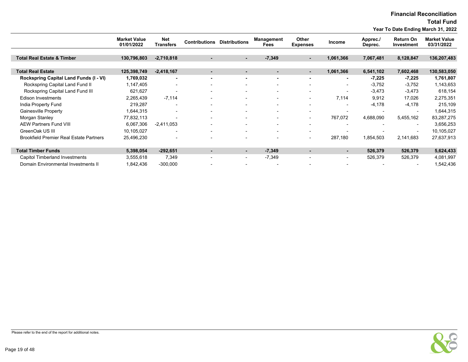# Financial Reconciliation

Total Fund

|                                                |                                   |                         |                          |                                    |                          |                          |                          |                          |                                | Year To Date Ending March 31, 2022 |
|------------------------------------------------|-----------------------------------|-------------------------|--------------------------|------------------------------------|--------------------------|--------------------------|--------------------------|--------------------------|--------------------------------|------------------------------------|
|                                                | <b>Market Value</b><br>01/01/2022 | <b>Net</b><br>Transfers |                          | <b>Contributions Distributions</b> | Management<br>Fees       | Other<br><b>Expenses</b> | Income                   | Apprec./<br>Deprec.      | <b>Return On</b><br>Investment | <b>Market Value</b><br>03/31/2022  |
|                                                |                                   |                         |                          |                                    |                          |                          |                          |                          |                                |                                    |
| <b>Total Real Estate &amp; Timber</b>          | 130,796,803                       | $-2,710,818$            |                          | $\sim$                             | $-7,349$                 | $\sim$                   | 1,061,366                | 7,067,481                | 8,128,847                      | 136,207,483                        |
| <b>Total Real Estate</b>                       | 125,398,749                       | $-2,418,167$            |                          | $\sim$                             |                          | $\sim$                   | 1,061,366                | 6,541,102                | 7,602,468                      | 130,583,050                        |
| Rockspring Capital Land Funds (I - VI)         | 1,769,032                         | ۰                       |                          | $\sim$                             | $\blacksquare$           | $\sim$                   | ٠                        | $-7,225$                 | $-7,225$                       | 1,761,807                          |
| Rockspring Capital Land Fund II                | 1,147,405                         |                         | $\overline{\phantom{0}}$ | $\overline{\phantom{a}}$           |                          | $\blacksquare$           | $\sim$                   | $-3,752$                 | $-3,752$                       | 1,143,653                          |
| Rockspring Capital Land Fund III               | 621,627                           |                         | $\overline{\phantom{0}}$ | $\overline{\phantom{0}}$           | $\overline{\phantom{0}}$ | $\overline{\phantom{0}}$ | $\overline{\phantom{0}}$ | $-3,473$                 | $-3,473$                       | 618,154                            |
| <b>Edison Investments</b>                      | 2,265,439                         | $-7,114$                | $\overline{\phantom{0}}$ | $\overline{\phantom{a}}$           | $\overline{\phantom{0}}$ | $\blacksquare$           | 7,114                    | 9,912                    | 17,026                         | 2,275,351                          |
| India Property Fund                            | 219,287                           |                         | $\overline{\phantom{0}}$ | $\overline{\phantom{a}}$           |                          | $\blacksquare$           | $\overline{\phantom{0}}$ | $-4,178$                 | $-4,178$                       | 215,109                            |
| Gainesville Property                           | 1,644,315                         |                         | $\overline{\phantom{0}}$ | $\overline{\phantom{0}}$           |                          | $\overline{\phantom{0}}$ |                          |                          | $\overline{\phantom{a}}$       | 1,644,315                          |
| Morgan Stanley                                 | 77,832,113                        |                         | $\overline{\phantom{0}}$ | $\blacksquare$                     |                          | $\overline{\phantom{a}}$ | 767,072                  | 4,688,090                | 5,455,162                      | 83,287,275                         |
| <b>AEW Partners Fund VIII</b>                  | 6,067,306                         | $-2,411,053$            |                          | $\overline{\phantom{0}}$           | $\overline{\phantom{0}}$ | $\overline{\phantom{a}}$ | $\overline{\phantom{0}}$ | $\overline{\phantom{0}}$ | $\overline{\phantom{a}}$       | 3,656,253                          |
| GreenOak US III                                | 10,105,027                        |                         |                          | $\overline{\phantom{0}}$           |                          | $\blacksquare$           |                          |                          | $\overline{\phantom{a}}$       | 10,105,027                         |
| <b>Brookfield Premier Real Estate Partners</b> | 25,496,230                        |                         |                          |                                    |                          | $\blacksquare$           | 287,180                  | 1,854,503                | 2,141,683                      | 27,637,913                         |
| <b>Total Timber Funds</b>                      | 5,398,054                         | $-292,651$              |                          | $\sim$                             | $-7,349$                 | ۰.                       | $\sim$                   | 526,379                  | 526,379                        | 5,624,433                          |
| <b>Capitol Timberland Investments</b>          | 3,555,618                         | 7,349                   | $\overline{\phantom{0}}$ | $\blacksquare$                     | $-7,349$                 | $\overline{\phantom{a}}$ | $\sim$                   | 526,379                  | 526,379                        | 4,081,997                          |
| Domain Environmental Investments II            | 1,842,436                         | $-300,000$              |                          |                                    |                          |                          |                          |                          |                                | 1,542,436                          |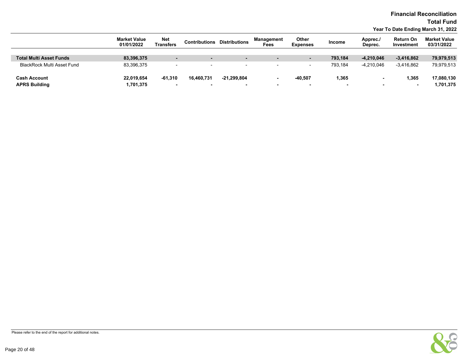Year To Date Ending March 31, 2022

|                                   | <b>Market Value</b><br>01/01/2022 | Net<br>Transfers         | <b>Contributions</b>     | <b>Distributions</b>     | Management<br>Fees       | Other<br><b>Expenses</b> | <b>Income</b> | Apprec./<br>Deprec. | <b>Return On</b><br>Investment | <b>Market Value</b><br>03/31/2022 |
|-----------------------------------|-----------------------------------|--------------------------|--------------------------|--------------------------|--------------------------|--------------------------|---------------|---------------------|--------------------------------|-----------------------------------|
|                                   |                                   |                          |                          |                          |                          |                          |               |                     |                                |                                   |
| <b>Total Multi Asset Funds</b>    | 83,396,375                        | $\overline{\phantom{a}}$ |                          | . .                      | $\blacksquare$           | $\overline{\phantom{a}}$ | 793.184       | $-4,210,046$        | $-3,416,862$                   | 79,979,513                        |
| <b>BlackRock Multi Asset Fund</b> | 83,396,375                        | $\overline{\phantom{a}}$ | $\overline{\phantom{a}}$ | $\overline{\phantom{0}}$ | $\overline{\phantom{0}}$ | $\overline{\phantom{0}}$ | 793,184       | $-4,210,046$        | $-3,416,862$                   | 79,979,513                        |
| <b>Cash Account</b>               | 22.019.654                        | $-61.310$                | 16,460,731               | $-21.299.804$            | $\overline{\phantom{a}}$ | $-40.507$                | 1,365         |                     | l.365                          | 17,080,130                        |
| <b>APRS Building</b>              | 1,701,375                         | . .                      |                          | . .                      |                          |                          |               |                     |                                | 1,701,375                         |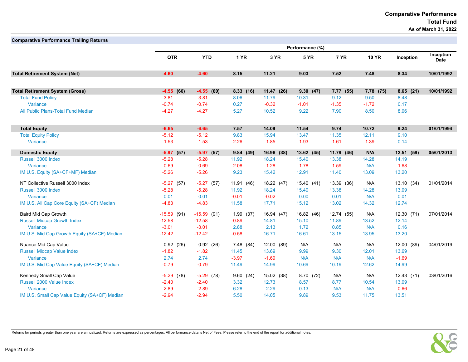## Comparative Performance Total Fund As of March 31, 2022

| <b>Comparative Performance Trailing Returns</b> |               |               |            |            |                 |            |              |            |                          |
|-------------------------------------------------|---------------|---------------|------------|------------|-----------------|------------|--------------|------------|--------------------------|
|                                                 |               |               |            |            | Performance (%) |            |              |            |                          |
|                                                 | <b>QTR</b>    | <b>YTD</b>    | 1 YR       | 3 YR       | <b>5 YR</b>     | 7 YR       | <b>10 YR</b> | Inception  | Inception<br><b>Date</b> |
| <b>Total Retirement System (Net)</b>            | $-4.60$       | $-4.60$       | 8.15       | 11.21      | 9.03            | 7.52       | 7.48         | 8.34       | 10/01/1992               |
|                                                 |               |               |            |            |                 |            |              |            |                          |
| <b>Total Retirement System (Gross)</b>          | $-4.55(60)$   | $-4.55(60)$   | 8.33(16)   | 11.47 (26) | 9.30(47)        | 7.77(55)   | 7.78(75)     | 8.65(21)   | 10/01/1992               |
| <b>Total Fund Policy</b>                        | $-3.81$       | $-3.81$       | 8.06       | 11.79      | 10.31           | 9.12       | 9.50         | 8.48       |                          |
| Variance                                        | $-0.74$       | $-0.74$       | 0.27       | $-0.32$    | $-1.01$         | $-1.35$    | $-1.72$      | 0.17       |                          |
| All Public Plans-Total Fund Median              | $-4.27$       | $-4.27$       | 5.27       | 10.52      | 9.22            | 7.90       | 8.50         | 8.06       |                          |
| <b>Total Equity</b>                             | $-6.65$       | $-6.65$       | 7.57       | 14.09      | 11.54           | 9.74       | 10.72        | 9.24       | 01/01/1994               |
| <b>Total Equity Policy</b>                      | $-5.12$       | $-5.12$       | 9.83       | 15.94      | 13.47           | 11.35      | 12.11        | 9.10       |                          |
| Variance                                        | $-1.53$       | $-1.53$       | $-2.26$    | $-1.85$    | $-1.93$         | $-1.61$    | $-1.39$      | 0.14       |                          |
| <b>Domestic Equity</b>                          | $-5.97$ (57)  | $-5.97$ (57)  | 9.84(49)   | 16.96 (38) | 13.62 (45)      | 11.79 (46) | N/A          | 12.51 (59) | 05/01/2013               |
| Russell 3000 Index                              | $-5.28$       | $-5.28$       | 11.92      | 18.24      | 15.40           | 13.38      | 14.28        | 14.19      |                          |
| Variance                                        | $-0.69$       | $-0.69$       | $-2.08$    | $-1.28$    | $-1.78$         | $-1.59$    | N/A          | $-1.68$    |                          |
| IM U.S. Equity (SA+CF+MF) Median                | $-5.26$       | $-5.26$       | 9.23       | 15.42      | 12.91           | 11.40      | 13.09        | 13.20      |                          |
| NT Collective Russell 3000 Index                | $-5.27(57)$   | $-5.27(57)$   | 11.91 (46) | 18.22 (47) | 15.40 (41)      | 13.39 (36) | N/A          | 13.10 (34) | 01/01/2014               |
| Russell 3000 Index                              | $-5.28$       | $-5.28$       | 11.92      | 18.24      | 15.40           | 13.38      | 14.28        | 13.09      |                          |
| Variance                                        | 0.01          | 0.01          | $-0.01$    | $-0.02$    | 0.00            | 0.01       | N/A          | 0.01       |                          |
| IM U.S. All Cap Core Equity (SA+CF) Median      | $-4.83$       | $-4.83$       | 11.58      | 17.71      | 15.12           | 13.02      | 14.32        | 12.74      |                          |
| Baird Mid Cap Growth                            | $-15.59$ (91) | $-15.59$ (91) | 1.99(37)   | 16.94 (47) | 16.82 (46)      | 12.74 (55) | N/A          | 12.30 (71) | 07/01/2014               |
| <b>Russell Midcap Growth Index</b>              | $-12.58$      | $-12.58$      | $-0.89$    | 14.81      | 15.10           | 11.89      | 13.52        | 12.14      |                          |
| Variance                                        | $-3.01$       | $-3.01$       | 2.88       | 2.13       | 1.72            | 0.85       | N/A          | 0.16       |                          |
| IM U.S. Mid Cap Growth Equity (SA+CF) Median    | $-12.42$      | $-12.42$      | $-0.58$    | 16.71      | 16.61           | 13.15      | 13.95        | 13.20      |                          |
| Nuance Mid Cap Value                            | 0.92(26)      | 0.92(26)      | 7.48 (84)  | 12.00 (89) | N/A             | N/A        | N/A          | 12.00 (89) | 04/01/2019               |
| <b>Russell Midcap Value Index</b>               | $-1.82$       | $-1.82$       | 11.45      | 13.69      | 9.99            | 9.30       | 12.01        | 13.69      |                          |
| Variance                                        | 2.74          | 2.74          | $-3.97$    | $-1.69$    | N/A             | N/A        | N/A          | $-1.69$    |                          |
| IM U.S. Mid Cap Value Equity (SA+CF) Median     | $-0.79$       | $-0.79$       | 11.49      | 14.99      | 10.69           | 10.19      | 12.62        | 14.99      |                          |
| Kennedy Small Cap Value                         | $-5.29(78)$   | $-5.29(78)$   | 9.60(24)   | 15.02 (38) | 8.70 (72)       | N/A        | N/A          | 12.43 (71) | 03/01/2016               |
| Russell 2000 Value Index                        | $-2.40$       | $-2.40$       | 3.32       | 12.73      | 8.57            | 8.77       | 10.54        | 13.09      |                          |
| Variance                                        | $-2.89$       | $-2.89$       | 6.28       | 2.29       | 0.13            | N/A        | N/A          | $-0.66$    |                          |
| IM U.S. Small Cap Value Equity (SA+CF) Median   | $-2.94$       | $-2.94$       | 5.50       | 14.05      | 9.89            | 9.53       | 11.75        | 13.51      |                          |

Returns for periods greater than one year are annualized. Returns are expressed as percentages. All performance data is Net of Fees. Please refer to the end of the report for additional notes.

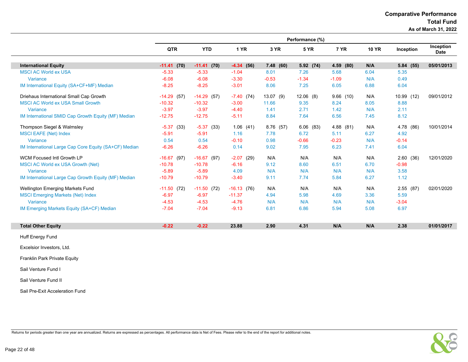As of March 31, 2022

|                                                       |               |               |              |           | Performance (%) |           |              |            |                          |
|-------------------------------------------------------|---------------|---------------|--------------|-----------|-----------------|-----------|--------------|------------|--------------------------|
|                                                       | <b>QTR</b>    | <b>YTD</b>    | 1 YR         | 3 YR      | <b>5 YR</b>     | 7 YR      | <b>10 YR</b> | Inception  | Inception<br><b>Date</b> |
| <b>International Equity</b>                           | $-11.41(70)$  | $-11.41(70)$  | $-4.34(56)$  | 7.48(60)  | 5.92(74)        | 4.59 (80) | N/A          | 5.84(55)   | 05/01/2013               |
| <b>MSCI AC World ex USA</b>                           | $-5.33$       | $-5.33$       | $-1.04$      | 8.01      | 7.26            | 5.68      | 6.04         | 5.35       |                          |
| Variance                                              | $-6.08$       | $-6.08$       | $-3.30$      | $-0.53$   | $-1.34$         | $-1.09$   | N/A          | 0.49       |                          |
| IM International Equity (SA+CF+MF) Median             | $-8.25$       | $-8.25$       | $-3.01$      | 8.06      | 7.25            | 6.05      | 6.88         | 6.04       |                          |
| Driehaus International Small Cap Growth               | $-14.29(57)$  | $-14.29(57)$  | $-7.40(74)$  | 13.07(9)  | 12.06(8)        | 9.66(10)  | N/A          | 10.99 (12) | 09/01/2012               |
| <b>MSCI AC World ex USA Small Growth</b>              | $-10.32$      | $-10.32$      | $-3.00$      | 11.66     | 9.35            | 8.24      | 8.05         | 8.88       |                          |
| Variance                                              | $-3.97$       | $-3.97$       | $-4.40$      | 1.41      | 2.71            | 1.42      | N/A          | 2.11       |                          |
| IM International SMID Cap Growth Equity (MF) Median   | $-12.75$      | $-12.75$      | $-5.11$      | 8.84      | 7.64            | 6.56      | 7.45         | 8.12       |                          |
| Thompson Siegel & Walmsley                            | $-5.37(33)$   | $-5.37(33)$   | 1.06(41)     | 8.76 (57) | 6.06(83)        | 4.88(81)  | N/A          | 4.78 (86)  | 10/01/2014               |
| <b>MSCI EAFE (Net) Index</b>                          | $-5.91$       | $-5.91$       | 1.16         | 7.78      | 6.72            | 5.11      | 6.27         | 4.92       |                          |
| Variance                                              | 0.54          | 0.54          | $-0.10$      | 0.98      | $-0.66$         | $-0.23$   | N/A          | $-0.14$    |                          |
| IM International Large Cap Core Equity (SA+CF) Median | $-6.26$       | $-6.26$       | 0.14         | 9.02      | 7.95            | 6.23      | 7.41         | 6.04       |                          |
| WCM Focused Intl Growth LP                            | $-16.67$ (97) | $-16.67$ (97) | $-2.07$ (29) | N/A       | N/A             | N/A       | N/A          | 2.60(36)   | 12/01/2020               |
| <b>MSCI AC World ex USA Growth (Net)</b>              | $-10.78$      | $-10.78$      | $-6.16$      | 9.12      | 8.60            | 6.51      | 6.70         | $-0.98$    |                          |
| Variance                                              | $-5.89$       | $-5.89$       | 4.09         | N/A       | N/A             | N/A       | N/A          | 3.58       |                          |
| IM International Large Cap Growth Equity (MF) Median  | $-10.79$      | $-10.79$      | $-3.40$      | 9.11      | 7.74            | 5.84      | 6.27         | 1.12       |                          |
| Wellington Emerging Markets Fund                      | $-11.50(72)$  | $-11.50(72)$  | $-16.13(76)$ | N/A       | N/A             | N/A       | N/A          | 2.55(87)   | 02/01/2020               |
| <b>MSCI Emerging Markets (Net) Index</b>              | $-6.97$       | $-6.97$       | $-11.37$     | 4.94      | 5.98            | 4.69      | 3.36         | 5.59       |                          |
| Variance                                              | $-4.53$       | $-4.53$       | $-4.76$      | N/A       | N/A             | N/A       | N/A          | $-3.04$    |                          |
| IM Emerging Markets Equity (SA+CF) Median             | $-7.04$       | $-7.04$       | $-9.13$      | 6.81      | 6.86            | 5.94      | 5.08         | 6.97       |                          |
| <b>Total Other Equity</b>                             | $-0.22$       | $-0.22$       | 23.88        | 2.90      | 4.31            | N/A       | N/A          | 2.38       | 01/01/2017               |
| Huff Energy Fund                                      |               |               |              |           |                 |           |              |            |                          |
| Excelsior Investors, Ltd.                             |               |               |              |           |                 |           |              |            |                          |
| Franklin Park Private Equity                          |               |               |              |           |                 |           |              |            |                          |
| Sail Venture Fund I                                   |               |               |              |           |                 |           |              |            |                          |
| Sail Venture Fund II                                  |               |               |              |           |                 |           |              |            |                          |

Sail Pre-Exit Acceleration Fund

Returns for periods greater than one year are annualized. Returns are expressed as percentages. All performance data is Net of Fees. Please refer to the end of the report for additional notes.

 $\overline{\phantom{a}}$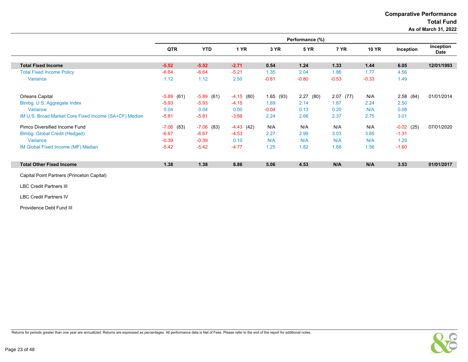As of March 31, 2022

| <b>QTR</b>  | <b>YTD</b>                                           | <b>1 YR</b>                                          | 3 YR                                                 | <b>5 YR</b>                                 | <b>7 YR</b>                                      | <b>10 YR</b>                                                | Inception                   | Inception<br>Date                        |
|-------------|------------------------------------------------------|------------------------------------------------------|------------------------------------------------------|---------------------------------------------|--------------------------------------------------|-------------------------------------------------------------|-----------------------------|------------------------------------------|
|             |                                                      |                                                      |                                                      |                                             |                                                  |                                                             |                             |                                          |
|             |                                                      |                                                      |                                                      |                                             |                                                  |                                                             |                             | 12/01/1993                               |
| $-6.64$     | $-6.64$                                              | $-5.21$                                              | 1.35                                                 |                                             | 1.86                                             | 1.77                                                        | 4.56                        |                                          |
| 1.12        | 1.12                                                 | 2.50                                                 | $-0.81$                                              | $-0.80$                                     | $-0.53$                                          | $-0.33$                                                     | 1.49                        |                                          |
|             |                                                      |                                                      |                                                      |                                             |                                                  | N/A                                                         |                             | 01/01/2014                               |
|             |                                                      |                                                      |                                                      |                                             |                                                  |                                                             |                             |                                          |
|             |                                                      |                                                      |                                                      |                                             |                                                  |                                                             |                             |                                          |
|             |                                                      |                                                      |                                                      |                                             |                                                  |                                                             |                             |                                          |
|             |                                                      |                                                      |                                                      |                                             |                                                  |                                                             |                             |                                          |
| $-7.06(83)$ | $-7.06(83)$                                          | $-4.43(42)$                                          | N/A                                                  | N/A                                         | N/A                                              | N/A                                                         | $-0.02$ (25)                | 07/01/2020                               |
| $-6.67$     | $-6.67$                                              | $-4.53$                                              | 2.27                                                 | 2.99                                        | 3.03                                             | 3.85                                                        | $-1.31$                     |                                          |
| $-0.39$     | $-0.39$                                              | 0.10                                                 | N/A                                                  | N/A                                         | N/A                                              | N/A                                                         | 1.29                        |                                          |
| $-5.42$     | $-5.42$                                              | $-4.77$                                              | 1.25                                                 | 1.82                                        | 1.68                                             | 1.56                                                        | $-1.60$                     |                                          |
| 1.38        | 1.38                                                 | 8.86                                                 | 5.06                                                 | 4.53                                        | N/A                                              | N/A                                                         | 3.53                        | 01/01/2017                               |
|             | $-5.52$<br>$-5.89(61)$<br>$-5.93$<br>0.04<br>$-5.81$ | $-5.52$<br>$-5.89(61)$<br>$-5.93$<br>0.04<br>$-5.81$ | $-2.71$<br>$-4.15(80)$<br>$-4.15$<br>0.00<br>$-3.88$ | 0.54<br>1.65(93)<br>1.69<br>$-0.04$<br>2.24 | 1.24<br>2.04<br>2.27(80)<br>2.14<br>0.13<br>2.66 | Performance (%)<br>1.33<br>2.07(77)<br>1.87<br>0.20<br>2.37 | 1.44<br>2.24<br>N/A<br>2.75 | 6.05<br>2.58(84)<br>2.50<br>0.08<br>3.01 |

Capital Point Partners (Princeton Capital)

LBC Credit Partners III

LBC Credit Partners IV

Providence Debt Fund III

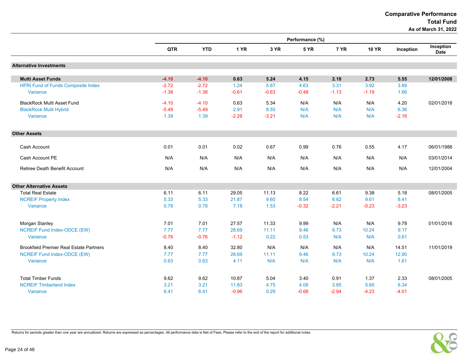As of March 31, 2022

|                                                | Performance (%) |            |             |         |         |         |              |           |                          |  |  |
|------------------------------------------------|-----------------|------------|-------------|---------|---------|---------|--------------|-----------|--------------------------|--|--|
|                                                | QTR             | <b>YTD</b> | <b>1 YR</b> | 3 YR    | 5 YR    | 7 YR    | <b>10 YR</b> | Inception | Inception<br><b>Date</b> |  |  |
|                                                |                 |            |             |         |         |         |              |           |                          |  |  |
| <b>Alternative Investments</b>                 |                 |            |             |         |         |         |              |           |                          |  |  |
| <b>Multi Asset Funds</b>                       | $-4.10$         | $-4.10$    | 0.63        | 5.24    | 4.15    | 2.18    | 2.73         | 5.55      | 12/01/2008               |  |  |
| <b>HFRI Fund of Funds Composite Index</b>      | $-2.72$         | $-2.72$    | 1.24        | 5.87    | 4.63    | 3.31    | 3.92         | 3.89      |                          |  |  |
| Variance                                       | $-1.38$         | $-1.38$    | $-0.61$     | $-0.63$ | $-0.48$ | $-1.13$ | $-1.19$      | 1.66      |                          |  |  |
|                                                |                 |            |             |         |         |         |              |           |                          |  |  |
| <b>BlackRock Multi Asset Fund</b>              | $-4.10$         | $-4.10$    | 0.63        | 5.34    | N/A     | N/A     | N/A          | 4.20      | 02/01/2018               |  |  |
| <b>BlackRock Multi Hybrid</b>                  | $-5.49$         | $-5.49$    | 2.91        | 8.55    | N/A     | N/A     | N/A          | 6.36      |                          |  |  |
| Variance                                       | 1.39            | 1.39       | $-2.28$     | $-3.21$ | N/A     | N/A     | N/A          | $-2.16$   |                          |  |  |
| <b>Other Assets</b>                            |                 |            |             |         |         |         |              |           |                          |  |  |
|                                                |                 |            |             |         |         |         |              |           |                          |  |  |
| Cash Account                                   | 0.01            | 0.01       | 0.02        | 0.67    | 0.99    | 0.76    | 0.55         | 4.17      | 06/01/1988               |  |  |
| Cash Account PE                                | N/A             | N/A        | N/A         | N/A     | N/A     | N/A     | N/A          | N/A       | 03/01/2014               |  |  |
| Retiree Death Benefit Account                  | N/A             | N/A        | N/A         | N/A     | N/A     | N/A     | N/A          | N/A       | 12/01/2004               |  |  |
| <b>Other Alternative Assets</b>                |                 |            |             |         |         |         |              |           |                          |  |  |
| <b>Total Real Estate</b>                       | 6.11            | 6.11       | 29.05       | 11.13   | 8.22    | 6.61    | 9.38         | 5.18      | 08/01/2005               |  |  |
| <b>NCREIF Property Index</b>                   | 5.33            | 5.33       | 21.87       | 9.60    | 8.54    | 8.82    | 9.61         | 8.41      |                          |  |  |
| Variance                                       | 0.78            | 0.78       | 7.18        | 1.53    | $-0.32$ | $-2.21$ | $-0.23$      | $-3.23$   |                          |  |  |
| Morgan Stanley                                 | 7.01            | 7.01       | 27.57       | 11.33   | 9.99    | N/A     | N/A          | 9.78      | 01/01/2016               |  |  |
| <b>NCREIF Fund Index-ODCE (EW)</b>             | 7.77            | 7.77       | 28.69       | 11.11   | 9.46    | 9.73    | 10.24        | 9.17      |                          |  |  |
| Variance                                       | $-0.76$         | $-0.76$    | $-1.12$     | 0.22    | 0.53    | N/A     | N/A          | 0.61      |                          |  |  |
| <b>Brookfield Premier Real Estate Partners</b> | 8.40            | 8.40       | 32.80       | N/A     | N/A     | N/A     | N/A          | 14.51     | 11/01/2019               |  |  |
| <b>NCREIF Fund Index-ODCE (EW)</b>             | 7.77            | 7.77       | 28.69       | 11.11   | 9.46    | 9.73    | 10.24        | 12.90     |                          |  |  |
| Variance                                       | 0.63            | 0.63       | 4.11        | N/A     | N/A     | N/A     | N/A          | 1.61      |                          |  |  |
| <b>Total Timber Funds</b>                      | 9.62            | 9.62       | 10.87       | 5.04    | 3.40    | 0.91    | 1.37         | 2.33      | 08/01/2005               |  |  |
| <b>NCREIF Timberland Index</b>                 | 3.21            | 3.21       | 11.83       | 4.75    | 4.08    | 3.85    | 5.60         | 6.34      |                          |  |  |
| Variance                                       | 6.41            | 6.41       | $-0.96$     | 0.29    | $-0.68$ | $-2.94$ | $-4.23$      | $-4.01$   |                          |  |  |



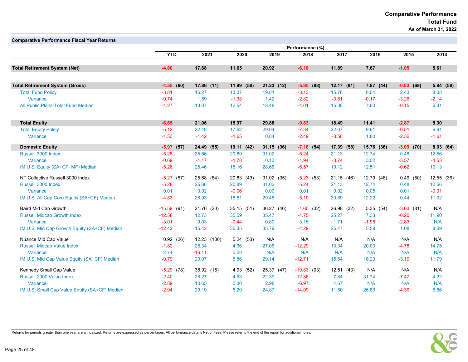## Comparative Performance Total Fund As of March 31, 2022

| <b>Comparative Performance Fiscal Year Returns</b> |               |             |            |               |                 |            |            |              |            |
|----------------------------------------------------|---------------|-------------|------------|---------------|-----------------|------------|------------|--------------|------------|
|                                                    |               |             |            |               | Performance (%) |            |            |              |            |
|                                                    | <b>YTD</b>    | 2021        | 2020       | 2019          | 2018            | 2017       | 2016       | 2015         | 2014       |
| <b>Total Retirement System (Net)</b>               | $-4.60$       | 17.68       | 11.65      | 20.92         | $-6.18$         | 11.89      | 7.67       | $-1.05$      | 5.61       |
| <b>Total Retirement System (Gross)</b>             | $-4.55(60)$   | 17.86 (11)  | 11.99 (58) | 21.23(12)     | $-5.95(88)$     | 12.17(91)  | 7.87(44)   | $-0.83(69)$  | 5.94(58)   |
| <b>Total Fund Policy</b>                           | $-3.81$       | 16.27       | 13.37      | 19.81         | $-3.13$         | 15.78      | 8.04       | 2.43         | 8.08       |
| Variance                                           | $-0.74$       | 1.59        | $-1.38$    | 1.42          | $-2.82$         | $-3.61$    | $-0.17$    | $-3.26$      | $-2.14$    |
| All Public Plans-Total Fund Median                 | $-4.27$       | 13.87       | 12.54      | 18.48         | $-4.01$         | 15.08      | 7.60       | $-0.15$      | 6.31       |
| <b>Total Equity</b>                                | $-6.65$       | 21.06       | 15.97      | 29.88         | $-9.83$         | 18.49      | 11.41      | $-2.87$      | 5.30       |
| <b>Total Equity Policy</b>                         | $-5.12$       | 22.48       | 17.62      | 29.04         | $-7.34$         | 22.07      | 9.61       | $-0.51$      | 6.91       |
| Variance                                           | $-1.53$       | $-1.42$     | $-1.65$    | 0.84          | $-2.49$         | $-3.58$    | 1.80       | $-2.36$      | $-1.61$    |
| <b>Domestic Equity</b>                             | $-5.97$ (57)  | 24.49 (55)  | 19.11 (42) | 31.15 (36)    | $-7.18$ (54)    | 17.39 (58) | 15.76 (36) | $-3.09$ (70) | 8.03(64)   |
| Russell 3000 Index                                 | $-5.28$       | 25.66       | 20.89      | 31.02         | $-5.24$         | 21.13      | 12.74      | 0.48         | 12.56      |
| Variance                                           | $-0.69$       | $-1.17$     | $-1.78$    | 0.13          | $-1.94$         | $-3.74$    | 3.02       | $-3.57$      | $-4.53$    |
| IM U.S. Equity (SA+CF+MF) Median                   | $-5.26$       | 25.46       | 15.16      | 28.66         | $-6.57$         | 19.12      | 12.51      | $-0.62$      | 10.13      |
| NT Collective Russell 3000 Index                   | $-5.27(57)$   | 25.68 (64)  | 20.83 (43) | 31.02 (35)    | $-5.23(53)$     | 21.15 (46) | 12.79 (48) | 0.49(50)     | 12.55 (36) |
| Russell 3000 Index                                 | $-5.28$       | 25.66       | 20.89      | 31.02         | $-5.24$         | 21.13      | 12.74      | 0.48         | 12.56      |
| Variance                                           | 0.01          | 0.02        | $-0.06$    | 0.00          | 0.01            | 0.02       | 0.05       | 0.01         | $-0.01$    |
| IM U.S. All Cap Core Equity (SA+CF) Median         | $-4.83$       | 26.93       | 18.81      | 29.45         | $-5.10$         | 20.89      | 12.22      | 0.44         | 11.02      |
| Baird Mid Cap Growth                               | $-15.59$ (91) | 21.76 (20)  | 35.15 (51) | 36.27<br>(46) | $-1.60(32)$     | 26.98 (32) | 5.35(54)   | $-3.03(81)$  | N/A        |
| <b>Russell Midcap Growth Index</b>                 | $-12.58$      | 12.73       | 35.59      | 35.47         | $-4.75$         | 25.27      | 7.33       | $-0.20$      | 11.90      |
| Variance                                           | $-3.01$       | 9.03        | $-0.44$    | 0.80          | 3.15            | 1.71       | $-1.98$    | $-2.83$      | N/A        |
| IM U.S. Mid Cap Growth Equity (SA+CF) Median       | $-12.42$      | 15.42       | 35.35      | 35.79         | $-4.29$         | 25.47      | 5.59       | 1.08         | 8.69       |
| Nuance Mid Cap Value                               | 0.92(26)      | 12.23 (100) | 5.24 (53)  | N/A           | N/A             | N/A        | N/A        | N/A          | N/A        |
| <b>Russell Midcap Value Index</b>                  | $-1.82$       | 28.34       | 4.96       | 27.06         | $-12.29$        | 13.34      | 20.00      | $-4.78$      | 14.75      |
| Variance                                           | 2.74          | $-16.11$    | 0.28       | N/A           | N/A             | N/A        | N/A        | N/A          | N/A        |
| IM U.S. Mid Cap Value Equity (SA+CF) Median        | $-0.79$       | 29.07       | 5.86       | 29.14         | $-12.71$        | 15.64      | 18.23      | $-3.19$      | 11.79      |
| Kennedy Small Cap Value                            | $-5.29$ (78)  | 38.92 (15)  | 4.93 (52)  | 25.37 (47)    | $-19.83(93)$    | 12.51(43)  | N/A        | N/A          | N/A        |
| Russell 2000 Value Index                           | $-2.40$       | 28.27       | 4.63       | 22.39         | $-12.86$        | 7.84       | 31.74      | $-7.47$      | 4.22       |
| Variance                                           | $-2.89$       | 10.65       | 0.30       | 2.98          | $-6.97$         | 4.67       | N/A        | N/A          | N/A        |
| IM U.S. Small Cap Value Equity (SA+CF) Median      | $-2.94$       | 29.19       | 5.20       | 24.87         | $-14.09$        | 11.60      | 26.83      | $-4.30$      | 5.66       |

Returns for periods greater than one year are annualized. Returns are expressed as percentages. All performance data is Net of Fees. Please refer to the end of the report for additional notes.

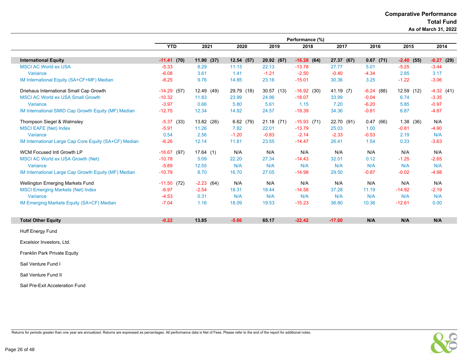As of March 31, 2022

|                                                       |                 |             |            |            | Performance (%) |            |             |             |              |
|-------------------------------------------------------|-----------------|-------------|------------|------------|-----------------|------------|-------------|-------------|--------------|
|                                                       | <b>YTD</b>      | 2021        | 2020       | 2019       | 2018            | 2017       | 2016        | 2015        | 2014         |
| <b>International Equity</b>                           | $-11.41(70)$    | 11.90(37)   | 12.54 (57) | 20.92 (67) | $-16.28(64)$    | 27.37 (67) | $0.67$ (71) | $-2.40(55)$ | $-0.27$ (29) |
| <b>MSCI AC World ex USA</b>                           | $-5.33$         | 8.29        | 11.13      | 22.13      | $-13.78$        | 27.77      | 5.01        | $-5.25$     | $-3.44$      |
| Variance                                              | $-6.08$         | 3.61        | 1.41       | $-1.21$    | $-2.50$         | $-0.40$    | $-4.34$     | 2.85        | 3.17         |
| IM International Equity (SA+CF+MF) Median             | $-8.25$         | 9.76        | 14.85      | 23.16      | $-15.01$        | 30.36      | 3.25        | $-1.22$     | $-3.06$      |
| Driehaus International Small Cap Growth               | $-14.29(57)$    | 12.49 (49)  | 29.79 (18) | 30.57 (13) | $-16.92(30)$    | 41.19(7)   | $-6.24(88)$ | 12.59 (12)  | $-4.32(41)$  |
| <b>MSCI AC World ex USA Small Growth</b>              | $-10.32$        | 11.83       | 23.99      | 24.96      | $-18.07$        | 33.99      | $-0.04$     | 6.74        | $-3.35$      |
| Variance                                              | $-3.97$         | 0.66        | 5.80       | 5.61       | 1.15            | 7.20       | $-6.20$     | 5.85        | $-0.97$      |
| IM International SMID Cap Growth Equity (MF) Median   | $-12.75$        | 12.34       | 14.82      | 24.57      | $-19.39$        | 34.36      | $-0.81$     | 6.87        | $-4.87$      |
| Thompson Siegel & Walmsley                            | $-5.37$<br>(33) | 13.82 (26)  | 6.62 (79)  | 21.18 (71) | $-15.93(71)$    | 22.70 (91) | 0.47(66)    | 1.38(36)    | N/A          |
| <b>MSCI EAFE (Net) Index</b>                          | $-5.91$         | 11.26       | 7.82       | 22.01      | $-13.79$        | 25.03      | 1.00        | $-0.81$     | $-4.90$      |
| Variance                                              | 0.54            | 2.56        | $-1.20$    | $-0.83$    | $-2.14$         | $-2.33$    | $-0.53$     | 2.19        | N/A          |
| IM International Large Cap Core Equity (SA+CF) Median | $-6.26$         | 12.14       | 11.81      | 23.55      | $-14.47$        | 26.41      | 1.54        | 0.33        | $-3.63$      |
| <b>WCM Focused Intl Growth LP</b>                     | $-16.67$ (97)   | 17.64(1)    | N/A        | N/A        | N/A             | N/A        | N/A         | N/A         | N/A          |
| <b>MSCI AC World ex USA Growth (Net)</b>              | $-10.78$        | 5.09        | 22.20      | 27.34      | $-14.43$        | 32.01      | 0.12        | $-1.25$     | $-2.65$      |
| Variance                                              | $-5.89$         | 12.55       | N/A        | N/A        | N/A             | N/A        | N/A         | N/A         | N/A          |
| IM International Large Cap Growth Equity (MF) Median  | $-10.79$        | 8.70        | 16.70      | 27.05      | $-14.98$        | 29.50      | $-0.87$     | $-0.02$     | $-4.98$      |
| Wellington Emerging Markets Fund                      | $-11.50(72)$    | $-2.23(64)$ | N/A        | N/A        | N/A             | N/A        | N/A         | N/A         | N/A          |
| <b>MSCI Emerging Markets (Net) Index</b>              | $-6.97$         | $-2.54$     | 18.31      | 18.44      | $-14.58$        | 37.28      | 11.19       | $-14.92$    | $-2.19$      |
| Variance                                              | $-4.53$         | 0.31        | N/A        | N/A        | N/A             | N/A        | N/A         | N/A         | N/A          |
| IM Emerging Markets Equity (SA+CF) Median             | $-7.04$         | 1.16        | 18.09      | 19.53      | $-15.23$        | 36.80      | 10.36       | $-12.61$    | 0.00         |
| <b>Total Other Equity</b>                             | $-0.22$         | 13.85       | $-5.66$    | 65.17      | $-22.42$        | $-17.60$   | N/A         | N/A         | N/A          |
|                                                       |                 |             |            |            |                 |            |             |             |              |
| Huff Energy Fund                                      |                 |             |            |            |                 |            |             |             |              |

Excelsior Investors, Ltd.

Franklin Park Private Equity

Sail Venture Fund I

Sail Venture Fund II

Sail Pre-Exit Acceleration Fund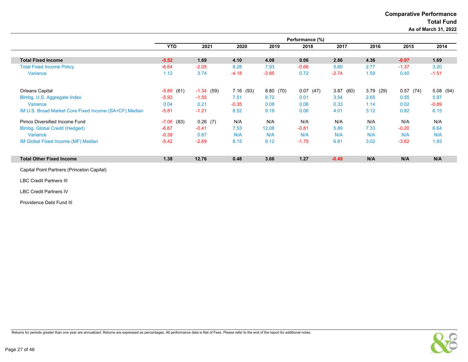## Comparative Performance Total Fund As of March 31, 2022

|                                                       |             |             |           |          | Performance (%) |          |          |          |           |
|-------------------------------------------------------|-------------|-------------|-----------|----------|-----------------|----------|----------|----------|-----------|
|                                                       | <b>YTD</b>  | 2021        | 2020      | 2019     | 2018            | 2017     | 2016     | 2015     | 2014      |
| <b>Total Fixed Income</b>                             | $-5.52$     | 1.69        | 4.10      | 4.08     | 0.06            | 2.86     | 4.36     | $-0.97$  | 1.69      |
| <b>Total Fixed Income Policy</b>                      | $-6.64$     | $-2.05$     | 8.28      | 7.93     | $-0.66$         | 5.60     | 2.77     | $-1.37$  | 3.20      |
| Variance                                              | 1.12        | 3.74        | $-4.18$   | $-3.85$  | 0.72            | $-2.74$  | 1.59     | 0.40     | $-1.51$   |
| <b>Orleans Capital</b>                                | $-5.89(61)$ | $-1.34(59)$ | 7.16 (93) | 8.80(70) | 0.07<br>(47)    | 3.87(60) | 3.79(29) | 0.57(74) | 5.08 (94) |
| Blmbg. U.S. Aggregate Index                           | $-5.93$     | $-1.55$     | 7.51      | 8.72     | 0.01            | 3.54     | 2.65     | 0.55     | 5.97      |
| Variance                                              | 0.04        | 0.21        | $-0.35$   | 0.08     | 0.06            | 0.33     | 1.14     | 0.02     | $-0.89$   |
| IM U.S. Broad Market Core Fixed Income (SA+CF) Median | $-5.81$     | $-1.21$     | 8.52      | 9.19     | 0.06            | 4.01     | 3.12     | 0.82     | 6.15      |
| Pimco Diversified Income Fund                         | $-7.06(83)$ | 0.26(7)     | N/A       | N/A      | N/A             | N/A      | N/A      | N/A      | N/A       |
| Blmbg. Global Credit (Hedged)                         | $-6.67$     | $-0.41$     | 7.53      | 12.08    | $-0.81$         | 5.89     | 7.33     | $-0.20$  | 6.64      |
| Variance                                              | $-0.39$     | 0.67        | N/A       | N/A      | N/A             | N/A      | N/A      | N/A      | N/A       |
| IM Global Fixed Income (MF) Median                    | $-5.42$     | $-2.69$     | 8.15      | 8.12     | $-1.75$         | 6.81     | 3.02     | $-3.82$  | 1.93      |
| <b>Total Other Fixed Income</b>                       | 1.38        | 12.76       | 0.48      | 3.66     | 1.27            | $-0.49$  | N/A      | N/A      | N/A       |

Capital Point Partners (Princeton Capital)

LBC Credit Partners III

 $\overline{\phantom{a}}$ 

LBC Credit Partners IV

Providence Debt Fund III



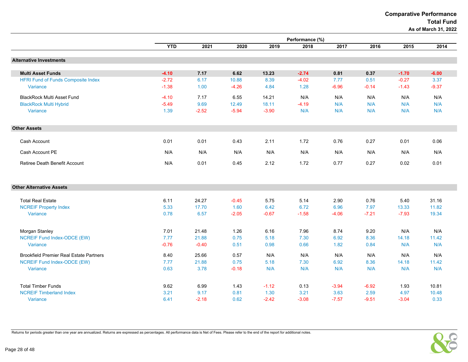As of March 31, 2022

|                                                |            |         |         |         | Performance (%) |         |         |         |         |
|------------------------------------------------|------------|---------|---------|---------|-----------------|---------|---------|---------|---------|
|                                                | <b>YTD</b> | 2021    | 2020    | 2019    | 2018            | 2017    | 2016    | 2015    | 2014    |
| <b>Alternative Investments</b>                 |            |         |         |         |                 |         |         |         |         |
|                                                |            |         |         |         |                 |         |         |         |         |
| <b>Multi Asset Funds</b>                       | $-4.10$    | 7.17    | 6.62    | 13.23   | $-2.74$         | 0.81    | 0.37    | $-1.70$ | $-6.00$ |
| <b>HFRI Fund of Funds Composite Index</b>      | $-2.72$    | 6.17    | 10.88   | 8.39    | $-4.02$         | 7.77    | 0.51    | $-0.27$ | 3.37    |
| Variance                                       | $-1.38$    | 1.00    | $-4.26$ | 4.84    | 1.28            | $-6.96$ | $-0.14$ | $-1.43$ | $-9.37$ |
| <b>BlackRock Multi Asset Fund</b>              | $-4.10$    | 7.17    | 6.55    | 14.21   | N/A             | N/A     | N/A     | N/A     | N/A     |
| <b>BlackRock Multi Hybrid</b>                  | $-5.49$    | 9.69    | 12.49   | 18.11   | $-4.19$         | N/A     | N/A     | N/A     | N/A     |
| Variance                                       | 1.39       | $-2.52$ | $-5.94$ | $-3.90$ | N/A             | N/A     | N/A     | N/A     | N/A     |
| <b>Other Assets</b>                            |            |         |         |         |                 |         |         |         |         |
|                                                |            |         |         |         |                 |         |         |         |         |
| Cash Account                                   | 0.01       | 0.01    | 0.43    | 2.11    | 1.72            | 0.76    | 0.27    | 0.01    | 0.06    |
| Cash Account PE                                | N/A        | N/A     | N/A     | N/A     | N/A             | N/A     | N/A     | N/A     | N/A     |
| Retiree Death Benefit Account                  | N/A        | 0.01    | 0.45    | 2.12    | 1.72            | 0.77    | 0.27    | 0.02    | 0.01    |
|                                                |            |         |         |         |                 |         |         |         |         |
| <b>Other Alternative Assets</b>                |            |         |         |         |                 |         |         |         |         |
| <b>Total Real Estate</b>                       | 6.11       | 24.27   | $-0.45$ | 5.75    | 5.14            | 2.90    | 0.76    | 5.40    | 31.16   |
| <b>NCREIF Property Index</b>                   | 5.33       | 17.70   | 1.60    | 6.42    | 6.72            | 6.96    | 7.97    | 13.33   | 11.82   |
| Variance                                       | 0.78       | 6.57    | $-2.05$ | $-0.67$ | $-1.58$         | $-4.06$ | $-7.21$ | $-7.93$ | 19.34   |
| Morgan Stanley                                 | 7.01       | 21.48   | 1.26    | 6.16    | 7.96            | 8.74    | 9.20    | N/A     | N/A     |
| <b>NCREIF Fund Index-ODCE (EW)</b>             | 7.77       | 21.88   | 0.75    | 5.18    | 7.30            | 6.92    | 8.36    | 14.18   | 11.42   |
| Variance                                       | $-0.76$    | $-0.40$ | 0.51    | 0.98    | 0.66            | 1.82    | 0.84    | N/A     | N/A     |
| <b>Brookfield Premier Real Estate Partners</b> | 8.40       | 25.66   | 0.57    | N/A     | N/A             | N/A     | N/A     | N/A     | N/A     |
| <b>NCREIF Fund Index-ODCE (EW)</b>             | 7.77       | 21.88   | 0.75    | 5.18    | 7.30            | 6.92    | 8.36    | 14.18   | 11.42   |
| Variance                                       | 0.63       | 3.78    | $-0.18$ | N/A     | N/A             | N/A     | N/A     | N/A     | N/A     |
| <b>Total Timber Funds</b>                      | 9.62       | 6.99    | 1.43    | $-1.12$ | 0.13            | $-3.94$ | $-6.92$ | 1.93    | 10.81   |
| <b>NCREIF Timberland Index</b>                 | 3.21       | 9.17    | 0.81    | 1.30    | 3.21            | 3.63    | 2.59    | 4.97    | 10.48   |
| Variance                                       | 6.41       | $-2.18$ | 0.62    | $-2.42$ | $-3.08$         | $-7.57$ | $-9.51$ | $-3.04$ | 0.33    |

Returns for periods greater than one year are annualized. Returns are expressed as percentages. All performance data is Net of Fees. Please refer to the end of the report for additional notes.

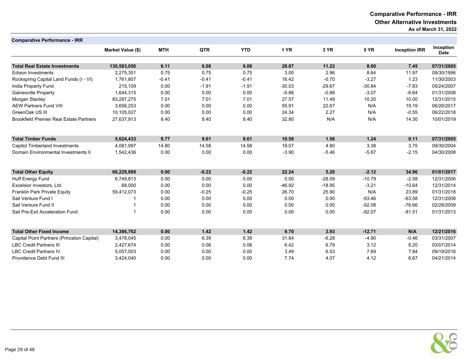Comparative Performance - IRR

Other Alternative Investments

As of March 31, 2022

| <b>Comparative Performance - IRR</b>           |                         |            |            |            |          |          |             |                      |                          |
|------------------------------------------------|-------------------------|------------|------------|------------|----------|----------|-------------|----------------------|--------------------------|
|                                                | Market Value (\$)       | <b>MTH</b> | <b>QTR</b> | <b>YTD</b> | 1 YR     | 3 YR     | <b>5 YR</b> | <b>Inception IRR</b> | Inception<br><b>Date</b> |
|                                                |                         |            |            |            |          |          |             |                      |                          |
| <b>Total Real Estate Investments</b>           | 130,583,050             | 6.11       | 6.08       | 6.08       | 28.87    | 11.22    | 8.60        | 7.45                 | 07/31/2005               |
| <b>Edison Investments</b>                      | 2,275,351               | 0.75       | 0.75       | 0.75       | 3.00     | 2.96     | 8.64        | 11.97                | 09/30/1996               |
| Rockspring Capital Land Funds (I - VI)         | 1,761,807               | $-0.41$    | $-0.41$    | $-0.41$    | 16.42    | $-0.70$  | $-3.27$     | 1.23                 | 11/30/2003               |
| India Property Fund                            | 215,109                 | 0.00       | $-1.91$    | $-1.91$    | $-30.03$ | $-29.67$ | $-30.84$    | $-7.83$              | 05/24/2007               |
| <b>Gainesville Property</b>                    | 1,644,315               | 0.00       | 0.00       | 0.00       | $-0.86$  | $-0.88$  | $-3.07$     | $-6.64$              | 01/31/2008               |
| Morgan Stanley                                 | 83,287,275              | 7.01       | 7.01       | 7.01       | 27.57    | 11.49    | 10.20       | 10.00                | 12/31/2015               |
| <b>AEW Partners Fund VIII</b>                  | 3,656,253               | 0.00       | 0.00       | 0.00       | 55.91    | 22.67    | N/A         | 19.19                | 06/26/2017               |
| GreenOak US III                                | 10,105,027              | 0.00       | 0.00       | 0.00       | 24.34    | 2.27     | N/A         | $-0.55$              | 06/22/2018               |
| <b>Brookfield Premier Real Estate Partners</b> | 27,637,913              | 8.40       | 8.40       | 8.40       | 32.80    | N/A      | N/A         | 14.30                | 10/01/2019               |
| <b>Total Timber Funds</b>                      | 5,624,433               | 9.77       | 9.61       | 9.61       | 10.58    | 1.56     | 1.24        | 0.11                 | 07/31/2005               |
| <b>Capitol Timberland Investments</b>          | 4,081,997               | 14.80      | 14.58      | 14.58      | 19.07    | 4.80     | 3.38        | 3.75                 | 09/30/2004               |
| Domain Environmental Investments II            | 1,542,436               | 0.00       | 0.00       | 0.00       | $-3.90$  | $-5.46$  | $-5.87$     | $-2.15$              | 04/30/2008               |
| <b>Total Other Equity</b>                      | 66,229,889              | 0.00       | $-0.22$    | $-0.22$    | 22.24    | 5.26     | $-2.12$     | 34.96                | 01/01/2017               |
| Huff Energy Fund                               | 6,749,813               | 0.00       | 0.00       | 0.00       | 0.00     | $-28.09$ | $-10.79$    | $-2.58$              | 12/31/2006               |
| Excelsior Investors, Ltd.                      | 68,000                  | 0.00       | 0.00       | 0.00       | $-46.92$ | $-18.95$ | $-3.21$     | $-10.64$             | 12/31/2014               |
| Franklin Park Private Equity                   | 59,412,073              | 0.00       | $-0.25$    | $-0.25$    | 26.70    | 25.90    | N/A         | 23.89                | 01/31/2018               |
| Sail Venture Fund I                            |                         | 0.00       | 0.00       | 0.00       | 0.00     | 0.00     | $-93.46$    | $-63.58$             | 12/31/2008               |
| Sail Venture Fund II                           |                         | 0.00       | 0.00       | 0.00       | 0.00     | 0.00     | $-92.08$    | $-76.66$             | 02/28/2009               |
| Sail Pre-Exit Acceleration Fund                | $\overline{\mathbf{1}}$ | 0.00       | 0.00       | 0.00       | 0.00     | 0.00     | $-92.07$    | $-81.51$             | 01/31/2013               |
| <b>Total Other Fixed Income</b>                | 14,386,762              | 0.00       | 1.42       | 1.42       | 9.70     | 3.93     | $-12.71$    | N/A                  | 12/21/2016               |
| Capital Point Partners (Princeton Capital)     | 3,478,045               | 0.00       | 6.39       | 6.39       | 31.84    | $-6.28$  | $-4.90$     | $-0.46$              | 03/31/2007               |
| <b>LBC Credit Partners III</b>                 | 2,427,674               | 0.00       | 0.06       | 0.06       | 6.42     | 6.79     | 3.12        | 8.20                 | 03/07/2014               |
| <b>LBC Credit Partners IV</b>                  | 5,057,003               | 0.00       | 0.00       | 0.00       | 3.49     | 6.53     | 7.69        | 7.84                 | 09/19/2016               |
| Providence Debt Fund III                       | 3,424,040               | 0.00       | 0.00       | 0.00       | 7.74     | 4.07     | 4.12        | 6.67                 | 04/21/2014               |

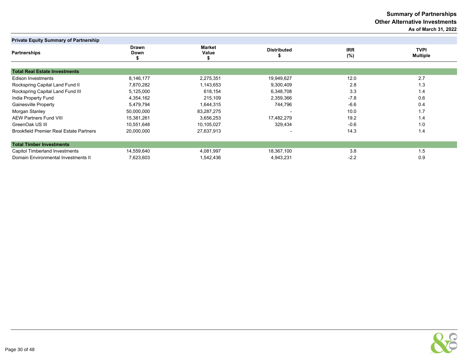Summary of Partnerships Other Alternative Investments As of March 31, 2022

| <b>Private Equity Summary of Partnership</b>   |                      |                        |                          |                      |                                |
|------------------------------------------------|----------------------|------------------------|--------------------------|----------------------|--------------------------------|
| <b>Partnerships</b>                            | <b>Drawn</b><br>Down | <b>Market</b><br>Value | <b>Distributed</b>       | <b>IRR</b><br>$(\%)$ | <b>TVPI</b><br><b>Multiple</b> |
| <b>Total Real Estate Investments</b>           |                      |                        |                          |                      |                                |
| Edison Investments                             | 8,146,177            | 2,275,351              | 19,949,627               | 12.0                 | 2.7                            |
| Rockspring Capital Land Fund II                | 7,870,282            | 1,143,653              | 9,300,409                | 2.8                  | 1.3                            |
| Rockspring Capital Land Fund III               | 5,125,000            | 618,154                | 6,348,708                | 3.3                  | 1.4                            |
| India Property Fund                            | 4,354,162            | 215,109                | 2,359,366                | $-7.8$               | 0.6                            |
| <b>Gainesville Property</b>                    | 5,479,794            | 1,644,315              | 744,796                  | $-6.6$               | 0.4                            |
| Morgan Stanley                                 | 50,000,000           | 83,287,275             |                          | 10.0                 | 1.7                            |
| <b>AEW Partners Fund VIII</b>                  | 15,381,261           | 3,656,253              | 17,482,279               | 19.2                 | 1.4                            |
| GreenOak US III                                | 10,551,648           | 10,105,027             | 329,434                  | $-0.6$               | 1.0                            |
| <b>Brookfield Premier Real Estate Partners</b> | 20,000,000           | 27,637,913             | $\overline{\phantom{a}}$ | 14.3                 | 1.4                            |
| <b>Total Timber Investments</b>                |                      |                        |                          |                      |                                |
| Capitol Timberland Investments                 | 14,559,640           | 4,081,997              | 18,367,100               | 3.8                  | 1.5                            |
| Domain Environmental Investments II            | 7,623,603            | 1,542,436              | 4,943,231                | $-2.2$               | 0.9                            |

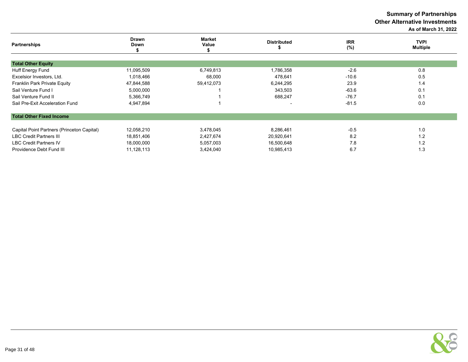Summary of Partnerships

Other Alternative Investments

|                                            |                      |                        |                    |                   | As of March 31, 2022           |
|--------------------------------------------|----------------------|------------------------|--------------------|-------------------|--------------------------------|
| <b>Partnerships</b>                        | <b>Drawn</b><br>Down | <b>Market</b><br>Value | <b>Distributed</b> | <b>IRR</b><br>(%) | <b>TVPI</b><br><b>Multiple</b> |
| <b>Total Other Equity</b>                  |                      |                        |                    |                   |                                |
| Huff Energy Fund                           | 11,095,509           | 6,749,813              | 1,786,358          | $-2.6$            | 0.8                            |
| Excelsior Investors, Ltd.                  | 1,018,466            | 68,000                 | 478,641            | $-10.6$           | 0.5                            |
| Franklin Park Private Equity               | 47,844,588           | 59,412,073             | 6,244,295          | 23.9              | 1.4                            |
| Sail Venture Fund I                        | 5,000,000            |                        | 343,503            | $-63.6$           | 0.1                            |
| Sail Venture Fund II                       | 5,366,749            |                        | 688,247            | $-76.7$           | 0.1                            |
| Sail Pre-Exit Acceleration Fund            | 4,947,894            |                        |                    | $-81.5$           | 0.0                            |
| <b>Total Other Fixed Income</b>            |                      |                        |                    |                   |                                |
| Capital Point Partners (Princeton Capital) | 12,058,210           | 3,478,045              | 8,286,461          | $-0.5$            | 1.0                            |
| <b>LBC Credit Partners III</b>             | 18,851,406           | 2,427,674              | 20,920,641         | 8.2               | 1.2                            |
| <b>LBC Credit Partners IV</b>              | 18,000,000           | 5,057,003              | 16,500,648         | 7.8               | 1.2                            |
| Providence Debt Fund III                   | 11,128,113           | 3,424,040              | 10,985,413         | 6.7               | 1.3                            |

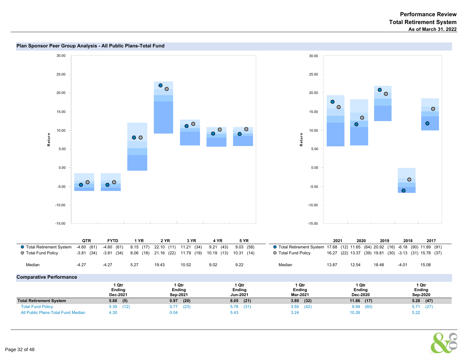$\circ$ 

 $\bullet$ 

 $\circ$ 

 $\bullet$ 

#### Plan Sponsor Peer Group Analysis - All Public Plans-Total Fund 30.00 30.00 25.00 25.00  $\circ$   $\circ$  $\bullet$ 20.00 20.00  $\circ$  $\bullet$  $\circ$ 15.00 15.00  $\circ$  $^{\circ}$  $\bullet$  $\circ$  $\circ$ 10.00 10.00  $\bullet$  $\bullet$  $\circ$ R eturn R eturn 5.00 5.00 0.00 0.00  $\circ$ <sup>o</sup>  $\circ$  $\bullet$ -5.00 -5.00 -10.00 -10.00 -15.00 -15.00

|                                    | QTR          | <b>FYTD</b>                 | YR           | <b>2 YR</b>   | 3 YR                               | 4 YR          | <b>5 YR</b>                               |                                            | 2021  |               | 2020                               | 2019                | 2018    |                                  | 2017 |
|------------------------------------|--------------|-----------------------------|--------------|---------------|------------------------------------|---------------|-------------------------------------------|--------------------------------------------|-------|---------------|------------------------------------|---------------------|---------|----------------------------------|------|
| ● Total Retirement System          | (61<br>-4.60 | $-4.60$<br>(61              | (17)<br>8.15 | 22.10<br>(11) | 1.21<br>(34)                       | 9.21<br>(43)  | 9.03(58)                                  | ◯ Total Retirement System 17.68 (12) 11.65 |       |               |                                    | $(64)$ 20.92 $(16)$ |         | -6.18 (90) 11.89 (91)            |      |
| ◯ Total Fund Policy                | $-3.81(34)$  | $-3.81$<br>(34)             | 8.06<br>(18) | 21.16 (22)    | 11.79<br>(19)                      | 10.19<br>(13) | 10.31(14)                                 | ○ Total Fund Policy                        | 16.27 | 13.37<br>(22) |                                    | (39) 19.81          |         | $(30)$ -3.13 $(31)$ 15.78 $(37)$ |      |
| Median                             | $-4.27$      | $-4.27$                     | 5.27         | 19.43         | 10.52                              | 9.02          | 9.22                                      | Median                                     | 13.87 | 12.54         |                                    | 18.48               | $-4.01$ | 15.08                            |      |
| <b>Comparative Performance</b>     |              |                             |              |               |                                    |               |                                           |                                            |       |               |                                    |                     |         |                                  |      |
|                                    |              | 1 Qtr<br>Ending<br>Dec-2021 |              |               | 1 Qtr<br><b>Ending</b><br>Sep-2021 |               | 1 Qtr<br><b>Ending</b><br><b>Jun-2021</b> | 1 Qtr<br><b>Ending</b><br>Mar-2021         |       |               | 1 Qtr<br><b>Ending</b><br>Dec-2020 |                     |         | 1 Qtr<br>Ending<br>Sep-2020      |      |
| <b>Total Retirement System</b>     |              | $5.88$ (5)                  |              | 0.97          | (20)                               |               | (21)<br>6.05                              | $3.80$ (32)                                |       |               | $11.86$ (17)                       |                     |         | 5.28(47)                         |      |
| <b>Total Fund Policy</b>           |              | (12)<br>5.39                |              | 0.77          | (23)                               |               | (31)<br>5.78                              | 3.50<br>(42)                               |       | 9.94          | (60)                               |                     |         | 5.71<br>(27)                     |      |
| All Public Plans-Total Fund Median |              | 4.30                        |              | 0.04          |                                    |               | 5.43                                      | 3.24                                       |       | 10.26         |                                    |                     |         | 5.22                             |      |



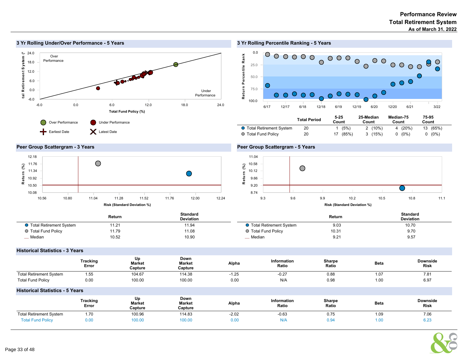

#### 3 Yr Rolling Percentile Ranking - 5 Years



|                           | <b>Total Period</b> | $5 - 25$<br>Count | 25-Median<br>Count | Median-75<br>Count | 75-95<br>Count |  |
|---------------------------|---------------------|-------------------|--------------------|--------------------|----------------|--|
| ● Total Retirement System | 20                  | (5%)              | 2 (10%)            | 4 (20%)            | 13 (65%)       |  |
| ◯ Total Fund Policy       | 20                  | 17 (85%)          | 3 (15%)            | $0(0\%)$           | $0(0\%)$       |  |

#### Peer Group Scattergram - 3 Years



#### Peer Group Scattergram - 5 Years



Risk (Standard Deviation %)

|                             | Return | <b>Standard</b><br><b>Deviation</b> |                         | Return | <b>Standard</b><br><b>Deviation</b> |
|-----------------------------|--------|-------------------------------------|-------------------------|--------|-------------------------------------|
| Total Retirement System     | 11.21  | 11.94                               | Total Retirement System | 9.03   | 10.70                               |
| ○ Total Fund Policy         | 11.79  | 11.08                               | Total Fund Policy       | 10.31  | 9.70                                |
| $\rule{1em}{0.15mm}$ Median | 10.52  | 10.90                               | Median                  | 9.21   | 9.57                                |

 $\overline{a}$ 

#### Historical Statistics - 3 Years

|                                | <b>Tracking</b><br>Error | Up<br><b>Market</b><br>Capture | Down<br><b>Market</b><br>Capture | Alpha   | Information<br>Ratio | Sharpe<br>Ratio | <b>Beta</b> | <b>Downside</b><br><b>Risk</b> |
|--------------------------------|--------------------------|--------------------------------|----------------------------------|---------|----------------------|-----------------|-------------|--------------------------------|
| <b>Total Retirement System</b> | 1.55                     | 104.67                         | 114.38                           | $-1.25$ | $-0.2$               | 0.88            | 07. ا       | 70.<br>ه. ا                    |
| <b>Total Fund Policy</b>       | 0.00                     | 100.00                         | 100.00                           | 0.00    | N/A                  | 0.98            | 1.00        | 6.97                           |

#### Historical Statistics - 5 Years

|                                | <b>Tracking</b><br>Error<br>and the state of the state of the | <b>Market</b><br>Capture | Down<br><b>Market</b><br>Capture | Alpha   | Information<br>Ratio<br>$\sim$ $\sim$ $\sim$ | Sharpe<br>Ratio<br>$\sim$ $\sim$ $\sim$ | <b>Beta</b> | <b>Downside</b><br><b>Risk</b> |
|--------------------------------|---------------------------------------------------------------|--------------------------|----------------------------------|---------|----------------------------------------------|-----------------------------------------|-------------|--------------------------------|
| <b>Total Retirement System</b> | 1.70                                                          | 100.96                   | 114.85                           | $-2.02$ | $-0.63$                                      | 0.75                                    | 1.09        | 7.06                           |
| <b>Total Fund Policy</b>       | 0.0                                                           | 100.00                   | 100.0                            | 0.00    | N/T                                          | 0.94                                    | 0.00        | $\sim$ $\sim$<br>0.2x          |

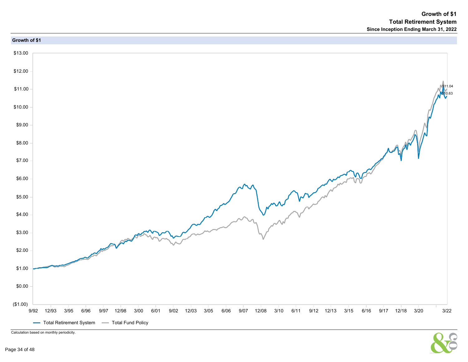

Calculation based on monthly periodicity.

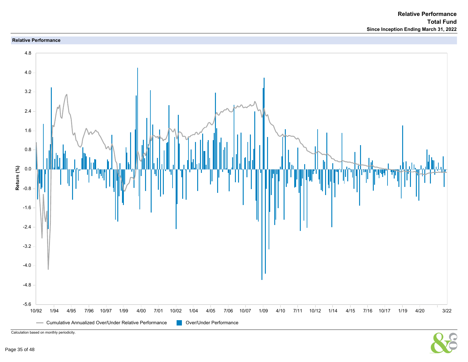#### **Relative Performance**



Calculation based on monthly periodicity.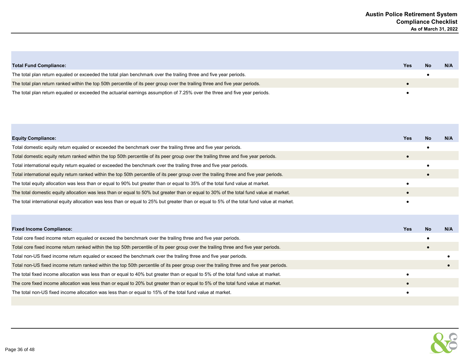| <b>Total Fund Compliance:</b>                                                                                                | Yes | No. | N/A |
|------------------------------------------------------------------------------------------------------------------------------|-----|-----|-----|
| The total plan return equaled or exceeded the total plan benchmark over the trailing three and five year periods.            |     |     |     |
| The total plan return ranked within the top 50th percentile of its peer group over the trailing three and five year periods. |     |     |     |
| The total plan return equaled or exceeded the actuarial earnings assumption of 7.25% over the three and five year periods.   |     |     |     |

| <b>Equity Compliance:</b>                                                                                                                  | Yes | <b>No</b> | N/A |
|--------------------------------------------------------------------------------------------------------------------------------------------|-----|-----------|-----|
| Total domestic equity return equaled or exceeded the benchmark over the trailing three and five year periods.                              |     |           |     |
| Total domestic equity return ranked within the top 50th percentile of its peer group over the trailing three and five year periods.        |     |           |     |
| Total international equity return equaled or exceeded the benchmark over the trailing three and five year periods.                         |     |           |     |
| Total international equity return ranked within the top 50th percentile of its peer group over the trailing three and five year periods.   |     |           |     |
| The total equity allocation was less than or equal to 90% but greater than or equal to 35% of the total fund value at market.              |     |           |     |
| The total domestic equity allocation was less than or equal to 50% but greater than or equal to 30% of the total fund value at market.     |     |           |     |
| The total international equity allocation was less than or equal to 25% but greater than or equal to 5% of the total fund value at market. |     |           |     |

| <b>Fixed Income Compliance:</b>                                                                                                         | Yes | No.       | N/A |
|-----------------------------------------------------------------------------------------------------------------------------------------|-----|-----------|-----|
|                                                                                                                                         |     |           |     |
| Total core fixed income return equaled or exceed the benchmark over the trailing three and five year periods.                           |     |           |     |
| Total core fixed income return ranked within the top 50th percentile of its peer group over the trailing three and five year periods.   |     | $\bullet$ |     |
| Total non-US fixed income return equaled or exceed the benchmark over the trailing three and five year periods.                         |     |           |     |
| Total non-US fixed income return ranked within the top 50th percentile of its peer group over the trailing three and five year periods. |     |           |     |
| The total fixed income allocation was less than or equal to 40% but greater than or equal to 5% of the total fund value at market.      |     |           |     |
| The core fixed income allocation was less than or equal to 20% but greater than or equal to 5% of the total fund value at market.       |     |           |     |
| The total non-US fixed income allocation was less than or equal to 15% of the total fund value at market.                               |     |           |     |
|                                                                                                                                         |     |           |     |

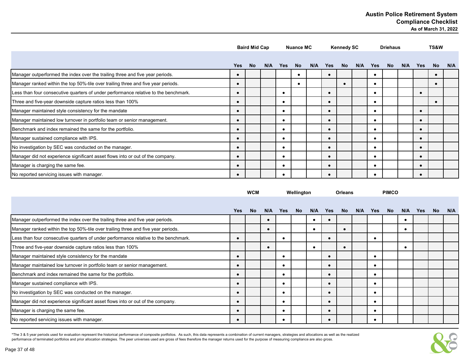## **Austin Police Retirement System Compliance Checklist As of March 31, 2022**

|                                                                                     | <b>Baird Mid Cap</b> |           |     | <b>Nuance MC</b> |           | <b>Kennedy SC</b> |            |           | <b>Driehaus</b> |     |           | <b>TS&amp;W</b> |            |           |     |  |
|-------------------------------------------------------------------------------------|----------------------|-----------|-----|------------------|-----------|-------------------|------------|-----------|-----------------|-----|-----------|-----------------|------------|-----------|-----|--|
|                                                                                     |                      |           |     |                  |           |                   |            |           |                 |     |           |                 |            |           |     |  |
|                                                                                     | <b>Yes</b>           | <b>No</b> | N/A | <b>Yes</b>       | <b>No</b> | N/A               | <b>Yes</b> | <b>No</b> | N/A             | Yes | <b>No</b> | N/A             | <b>Yes</b> | <b>No</b> | N/A |  |
| Manager outperformed the index over the trailing three and five year periods.       |                      |           |     |                  |           |                   |            |           |                 |     |           |                 |            |           |     |  |
| Manager ranked within the top 50%-tile over trailing three and five year periods.   |                      |           |     |                  |           |                   |            | $\bullet$ |                 |     |           |                 |            |           |     |  |
| Less than four consecutive quarters of under performance relative to the benchmark. |                      |           |     | ٠                |           |                   |            |           |                 |     |           |                 | $\bullet$  |           |     |  |
| Three and five-year downside capture ratios less than 100%                          |                      |           |     |                  |           |                   |            |           |                 |     |           |                 |            |           |     |  |
| Manager maintained style consistency for the mandate                                |                      |           |     |                  |           |                   |            |           |                 |     |           |                 | $\bullet$  |           |     |  |
| Manager maintained low turnover in portfolio team or senior management.             |                      |           |     |                  |           |                   |            |           |                 |     |           |                 | $\bullet$  |           |     |  |
| Benchmark and index remained the same for the portfolio.                            |                      |           |     | $\bullet$        |           |                   |            |           |                 |     |           |                 | $\bullet$  |           |     |  |
| Manager sustained compliance with IPS.                                              |                      |           |     |                  |           |                   |            |           |                 |     |           |                 | $\bullet$  |           |     |  |
| No investigation by SEC was conducted on the manager.                               |                      |           |     | $\bullet$        |           |                   |            |           |                 |     |           |                 | $\bullet$  |           |     |  |
| Manager did not experience significant asset flows into or out of the company.      |                      |           |     |                  |           |                   |            |           |                 |     |           |                 | $\bullet$  |           |     |  |
| Manager is charging the same fee.                                                   |                      |           |     | $\bullet$        |           |                   |            |           |                 |     |           |                 | $\bullet$  |           |     |  |
| No reported servicing issues with manager.                                          |                      |           |     |                  |           |                   |            |           |                 |     |           |                 |            |           |     |  |

|                                                                                     | <b>WCM</b> |           | Wellington<br><b>Orleans</b> |            |           | <b>PIMCO</b> |           |           |     |            |           |           |            |           |     |
|-------------------------------------------------------------------------------------|------------|-----------|------------------------------|------------|-----------|--------------|-----------|-----------|-----|------------|-----------|-----------|------------|-----------|-----|
|                                                                                     | <b>Yes</b> | <b>No</b> | N/A                          | <b>Yes</b> | <b>No</b> | N/A          | Yes       | <b>No</b> | N/A | <b>Yes</b> | <b>No</b> | N/A       | <b>Yes</b> | <b>No</b> | N/A |
| Manager outperformed the index over the trailing three and five year periods.       |            |           |                              |            |           | ٠            | $\bullet$ |           |     |            |           |           |            |           |     |
| Manager ranked within the top 50%-tile over trailing three and five year periods.   |            |           |                              |            |           | ٠            |           |           |     |            |           |           |            |           |     |
| Less than four consecutive quarters of under performance relative to the benchmark. |            |           |                              |            |           |              | $\bullet$ |           |     |            |           |           |            |           |     |
| Three and five-year downside capture ratios less than 100%                          |            |           |                              |            |           | ٠            |           |           |     |            |           | $\bullet$ |            |           |     |
| Manager maintained style consistency for the mandate                                |            |           |                              |            |           |              |           |           |     |            |           |           |            |           |     |
| Manager maintained low turnover in portfolio team or senior management.             |            |           |                              |            |           |              | $\bullet$ |           |     |            |           |           |            |           |     |
| Benchmark and index remained the same for the portfolio.                            |            |           |                              |            |           |              |           |           |     |            |           |           |            |           |     |
| Manager sustained compliance with IPS.                                              |            |           |                              |            |           |              |           |           |     |            |           |           |            |           |     |
| No investigation by SEC was conducted on the manager.                               |            |           |                              |            |           |              |           |           |     |            |           |           |            |           |     |
| Manager did not experience significant asset flows into or out of the company.      |            |           |                              |            |           |              |           |           |     |            |           |           |            |           |     |
| Manager is charging the same fee.                                                   |            |           |                              |            |           |              |           |           |     |            |           |           |            |           |     |
| No reported servicing issues with manager.                                          |            |           |                              |            |           |              | $\bullet$ |           |     |            |           |           |            |           |     |

\*The 3 & 5 year periods used for evaluation represent the historical performance of composite portfolios. As such, this data represents a combination of current managers, strategies and allocations as well as the realized performance of terminated portfolios and prior allocation strategies. The peer universes used are gross of fees therefore the manager returns used for the purpose of measuring compliance are also gross.

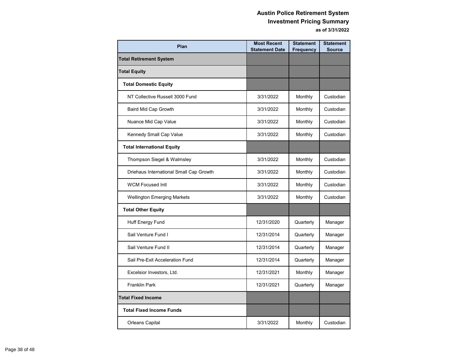# **Austin Police Retirement System Investment Pricing Summary as of 3/31/2022**

| Plan                                    | <b>Most Recent</b><br><b>Statement Date</b> | <b>Statement</b><br><b>Frequency</b> | <b>Statement</b><br><b>Source</b> |
|-----------------------------------------|---------------------------------------------|--------------------------------------|-----------------------------------|
| <b>Total Retirement System</b>          |                                             |                                      |                                   |
| <b>Total Equity</b>                     |                                             |                                      |                                   |
| <b>Total Domestic Equity</b>            |                                             |                                      |                                   |
| NT Collective Russell 3000 Fund         | 3/31/2022                                   | Monthly                              | Custodian                         |
| Baird Mid Cap Growth                    | 3/31/2022                                   | Monthly                              | Custodian                         |
| Nuance Mid Cap Value                    | 3/31/2022                                   | Monthly                              | Custodian                         |
| Kennedy Small Cap Value                 | 3/31/2022                                   | Monthly                              | Custodian                         |
| <b>Total International Equity</b>       |                                             |                                      |                                   |
| Thompson Siegel & Walmsley              | 3/31/2022                                   | Monthly                              | Custodian                         |
| Driehaus International Small Cap Growth | 3/31/2022                                   | Monthly                              | Custodian                         |
| <b>WCM Focused Intl</b>                 | 3/31/2022                                   | Monthly                              | Custodian                         |
| <b>Wellington Emerging Markets</b>      | 3/31/2022                                   | Monthly                              | Custodian                         |
| <b>Total Other Equity</b>               |                                             |                                      |                                   |
| Huff Energy Fund                        | 12/31/2020                                  | Quarterly                            | Manager                           |
| Sail Venture Fund I                     | 12/31/2014                                  | Quarterly                            | Manager                           |
| Sail Venture Fund II                    | 12/31/2014                                  | Quarterly                            | Manager                           |
| Sail Pre-Exit Acceleration Fund         | 12/31/2014                                  | Quarterly                            | Manager                           |
| Excelsior Investors, Ltd.               | 12/31/2021                                  | Monthly                              | Manager                           |
| <b>Franklin Park</b>                    | 12/31/2021                                  | Quarterly                            | Manager                           |
| <b>Total Fixed Income</b>               |                                             |                                      |                                   |
| <b>Total Fixed Income Funds</b>         |                                             |                                      |                                   |
| Orleans Capital                         | 3/31/2022                                   | Monthly                              | Custodian                         |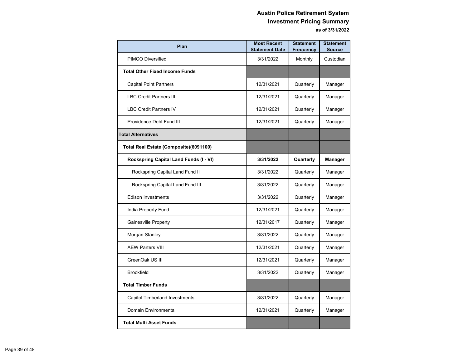# **Austin Police Retirement System Investment Pricing Summary as of 3/31/2022**

| Plan                                   | <b>Most Recent</b><br><b>Statement Date</b> | <b>Statement</b><br>Frequency | <b>Statement</b><br><b>Source</b> |
|----------------------------------------|---------------------------------------------|-------------------------------|-----------------------------------|
| <b>PIMCO Diversified</b>               | 3/31/2022                                   | Monthly                       | Custodian                         |
| <b>Total Other Fixed Income Funds</b>  |                                             |                               |                                   |
| <b>Capital Point Partners</b>          | 12/31/2021                                  | Quarterly                     | Manager                           |
| <b>LBC Credit Partners III</b>         | 12/31/2021                                  | Quarterly                     | Manager                           |
| <b>LBC Credit Partners IV</b>          | 12/31/2021                                  | Manager                       |                                   |
| Providence Debt Fund III               | 12/31/2021                                  | Quarterly                     | Manager                           |
| <b>Total Alternatives</b>              |                                             |                               |                                   |
| Total Real Estate (Composite)(6091100) |                                             |                               |                                   |
| Rockspring Capital Land Funds (I - VI) | 3/31/2022                                   | Quarterly                     | Manager                           |
| Rockspring Capital Land Fund II        | 3/31/2022                                   | Quarterly                     | Manager                           |
| Rockspring Capital Land Fund III       | 3/31/2022                                   | Quarterly                     | Manager                           |
| <b>Edison Investments</b>              | 3/31/2022                                   | Quarterly                     | Manager                           |
| India Property Fund                    | 12/31/2021                                  | Quarterly                     | Manager                           |
| Gainesville Property                   | 12/31/2017                                  | Quarterly                     | Manager                           |
| Morgan Stanley                         | 3/31/2022                                   | Quarterly                     | Manager                           |
| <b>AEW Parters VIII</b>                | 12/31/2021                                  | Quarterly                     | Manager                           |
| GreenOak US III                        | 12/31/2021                                  | Quarterly                     | Manager                           |
| <b>Brookfield</b>                      | 3/31/2022                                   | Quarterly                     | Manager                           |
| <b>Total Timber Funds</b>              |                                             |                               |                                   |
| <b>Capitol Timberland Investments</b>  | 3/31/2022                                   | Quarterly                     | Manager                           |
| Domain Environmental                   | 12/31/2021                                  | Quarterly                     | Manager                           |
| <b>Total Multi Asset Funds</b>         |                                             |                               |                                   |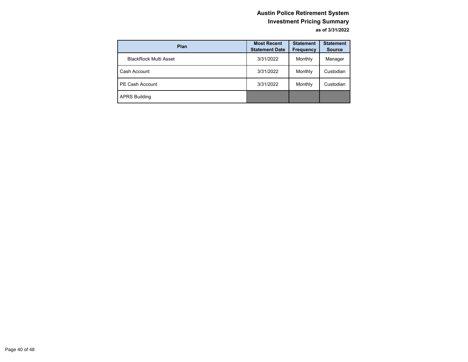# **Austin Police Retirement System Investment Pricing Summary as of 3/31/2022**

| Plan                         | <b>Most Recent</b><br><b>Statement Date</b> | <b>Statement</b><br><b>Frequency</b> | <b>Statement</b><br><b>Source</b> |
|------------------------------|---------------------------------------------|--------------------------------------|-----------------------------------|
| <b>BlackRock Multi Asset</b> | 3/31/2022                                   | Monthly                              | Manager                           |
| Cash Account                 | 3/31/2022                                   | Monthly                              | Custodian                         |
| PE Cash Account              | 3/31/2022                                   | Monthly                              | Custodian                         |
| <b>APRS Building</b>         |                                             |                                      |                                   |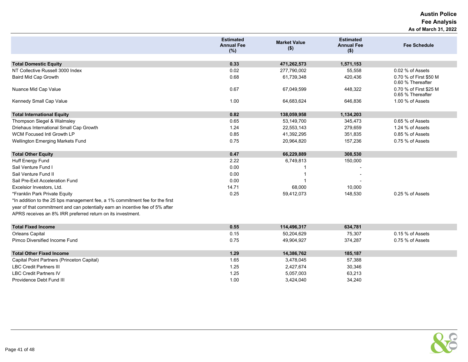# Austin Police Fee Analysis

|  | As of March 31, 2022 |  |
|--|----------------------|--|
|  |                      |  |

|                                                                               | <b>Estimated</b><br><b>Annual Fee</b><br>(%) | <b>Market Value</b><br>$($ \$) | <b>Estimated</b><br><b>Annual Fee</b><br>$($ \$) | <b>Fee Schedule</b>                         |
|-------------------------------------------------------------------------------|----------------------------------------------|--------------------------------|--------------------------------------------------|---------------------------------------------|
|                                                                               |                                              |                                |                                                  |                                             |
| <b>Total Domestic Equity</b>                                                  | 0.33                                         | 471,262,573                    | 1,571,153                                        |                                             |
| NT Collective Russell 3000 Index                                              | 0.02                                         | 277,790,002                    | 55,558                                           | 0.02 % of Assets                            |
| Baird Mid Cap Growth                                                          | 0.68                                         | 61,739,348                     | 420,436                                          | 0.70 % of First \$50 M<br>0.60 % Thereafter |
| Nuance Mid Cap Value                                                          | 0.67                                         | 67,049,599                     | 448,322                                          | 0.70 % of First \$25 M<br>0.65 % Thereafter |
| Kennedy Small Cap Value                                                       | 1.00                                         | 64,683,624                     | 646,836                                          | 1.00 % of Assets                            |
| <b>Total International Equity</b>                                             | 0.82                                         | 138,059,958                    | 1,134,203                                        |                                             |
| Thompson Siegel & Walmsley                                                    | 0.65                                         | 53,149,700                     | 345,473                                          | 0.65 % of Assets                            |
| Driehaus International Small Cap Growth                                       | 1.24                                         | 22,553,143                     | 279,659                                          | 1.24 % of Assets                            |
| WCM Focused Intl Growth LP                                                    | 0.85                                         | 41,392,295                     | 351,835                                          | 0.85 % of Assets                            |
| Wellington Emerging Markets Fund                                              | 0.75                                         | 20,964,820                     | 157,236                                          | 0.75 % of Assets                            |
| <b>Total Other Equity</b>                                                     | 0.47                                         | 66,229,889                     | 308,530                                          |                                             |
| Huff Energy Fund                                                              | 2.22                                         | 6,749,813                      | 150,000                                          |                                             |
| Sail Venture Fund I                                                           | 0.00                                         |                                |                                                  |                                             |
| Sail Venture Fund II                                                          | 0.00                                         |                                |                                                  |                                             |
| Sail Pre-Exit Acceleration Fund                                               | 0.00                                         |                                |                                                  |                                             |
| Excelsior Investors, Ltd.                                                     | 14.71                                        | 68,000                         | 10,000                                           |                                             |
| *Franklin Park Private Equity                                                 | 0.25                                         | 59,412,073                     | 148,530                                          | 0.25 % of Assets                            |
| *In addition to the 25 bps management fee, a 1% commitment fee for the first  |                                              |                                |                                                  |                                             |
| year of that commitment and can potentially earn an incentive fee of 5% after |                                              |                                |                                                  |                                             |
| APRS receives an 8% IRR preferred return on its investment.                   |                                              |                                |                                                  |                                             |
| <b>Total Fixed Income</b>                                                     | 0.55                                         | 114,496,317                    | 634,781                                          |                                             |
| <b>Orleans Capital</b>                                                        | 0.15                                         | 50,204,629                     | 75,307                                           | 0.15 % of Assets                            |
| Pimco Diversified Income Fund                                                 | 0.75                                         | 49,904,927                     | 374,287                                          | 0.75 % of Assets                            |
| <b>Total Other Fixed Income</b>                                               | 1.29                                         | 14,386,762                     | 185,187                                          |                                             |
| Capital Point Partners (Princeton Capital)                                    | 1.65                                         | 3,478,045                      | 57,388                                           |                                             |
| <b>LBC Credit Partners III</b>                                                | 1.25                                         | 2,427,674                      | 30,346                                           |                                             |
| <b>LBC Credit Partners IV</b>                                                 | 1.25                                         | 5,057,003                      | 63,213                                           |                                             |
| Providence Debt Fund III                                                      | 1.00                                         | 3,424,040                      | 34,240                                           |                                             |

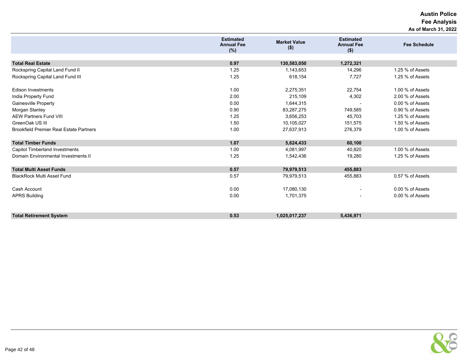## Austin Police Fee Analysis As of March 31, 2022

|                                                | <b>Estimated</b><br><b>Annual Fee</b><br>(%) | <b>Market Value</b><br>$($ \$) | <b>Estimated</b><br><b>Annual Fee</b><br>$($ \$) | <b>Fee Schedule</b> |
|------------------------------------------------|----------------------------------------------|--------------------------------|--------------------------------------------------|---------------------|
| <b>Total Real Estate</b>                       | 0.97                                         |                                |                                                  |                     |
|                                                | 1.25                                         | 130,583,050                    | 1,272,321                                        | 1.25 % of Assets    |
| Rockspring Capital Land Fund II                |                                              | 1,143,653                      | 14,296                                           |                     |
| Rockspring Capital Land Fund III               | 1.25                                         | 618,154                        | 7,727                                            | 1.25 % of Assets    |
| Edison Investments                             | 1.00                                         | 2,275,351                      | 22,754                                           | 1.00 % of Assets    |
| India Property Fund                            | 2.00                                         | 215,109                        | 4,302                                            | 2.00 % of Assets    |
| <b>Gainesville Property</b>                    | 0.00                                         | 1,644,315                      |                                                  | 0.00 % of Assets    |
| Morgan Stanley                                 | 0.90                                         | 83,287,275                     | 749,585                                          | 0.90 % of Assets    |
| <b>AEW Partners Fund VIII</b>                  | 1.25                                         | 3,656,253                      | 45,703                                           | 1.25 % of Assets    |
| GreenOak US III                                | 1.50                                         | 10,105,027                     | 151,575                                          | 1.50 % of Assets    |
| <b>Brookfield Premier Real Estate Partners</b> | 1.00                                         | 27,637,913                     | 276,379                                          | 1.00 % of Assets    |
| <b>Total Timber Funds</b>                      | 1.07                                         | 5,624,433                      | 60,100                                           |                     |
| <b>Capitol Timberland Investments</b>          | 1.00                                         | 4,081,997                      | 40,820                                           | 1.00 % of Assets    |
| Domain Environmental Investments II            | 1.25                                         | 1,542,436                      | 19,280                                           | 1.25 % of Assets    |
| <b>Total Multi Asset Funds</b>                 | 0.57                                         | 79,979,513                     | 455,883                                          |                     |
| <b>BlackRock Multi Asset Fund</b>              | 0.57                                         | 79,979,513                     | 455,883                                          | 0.57 % of Assets    |
| Cash Account                                   | 0.00                                         | 17,080,130                     | $\sim$                                           | 0.00 % of Assets    |
| <b>APRS Building</b>                           | 0.00                                         | 1,701,375                      | $\overline{\phantom{a}}$                         | 0.00 % of Assets    |
|                                                |                                              |                                |                                                  |                     |
| <b>Total Retirement System</b>                 | 0.53                                         | 1,025,017,237                  | 5,436,971                                        |                     |

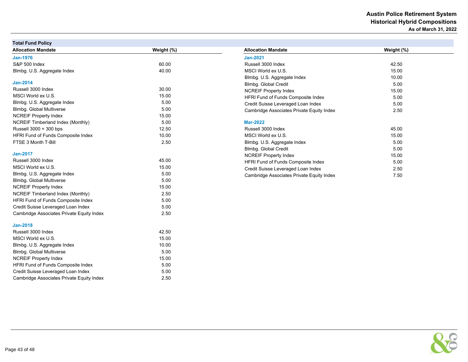## Austin Police Retirement System Historical Hybrid Compositions As of March 31, 2022

| <b>Total Fund Policy</b>                  |            |                                           |            |
|-------------------------------------------|------------|-------------------------------------------|------------|
| <b>Allocation Mandate</b>                 | Weight (%) | <b>Allocation Mandate</b>                 | Weight (%) |
| <b>Jan-1976</b>                           |            | <b>Jan-2021</b>                           |            |
| <b>S&amp;P 500 Index</b>                  | 60.00      | Russell 3000 Index                        | 42.50      |
| Blmbg. U.S. Aggregate Index               | 40.00      | MSCI World ex U.S.                        | 15.00      |
|                                           |            | Blmbg. U.S. Aggregate Index               | 10.00      |
| <b>Jan-2014</b>                           |            | Blmbg. Global Credit                      | 5.00       |
| Russell 3000 Index                        | 30.00      | <b>NCREIF Property Index</b>              | 15.00      |
| MSCI World ex U.S.                        | 15.00      | HFRI Fund of Funds Composite Index        | 5.00       |
| Blmbg. U.S. Aggregate Index               | 5.00       | Credit Suisse Leveraged Loan Index        | 5.00       |
| Blmbg. Global Multiverse                  | 5.00       | Cambridge Associates Private Equity Index | 2.50       |
| <b>NCREIF Property Index</b>              | 15.00      |                                           |            |
| <b>NCREIF Timberland Index (Monthly)</b>  | 5.00       | <b>Mar-2022</b>                           |            |
| Russell 3000 + 300 bps                    | 12.50      | Russell 3000 Index                        | 45.00      |
| HFRI Fund of Funds Composite Index        | 10.00      | MSCI World ex U.S.                        | 15.00      |
| FTSE 3 Month T-Bill                       | 2.50       | Blmbg. U.S. Aggregate Index               | 5.00       |
|                                           |            | Blmbg. Global Credit                      | 5.00       |
| <b>Jan-2017</b>                           |            | <b>NCREIF Property Index</b>              | 15.00      |
| Russell 3000 Index                        | 45.00      | HFRI Fund of Funds Composite Index        | 5.00       |
| MSCI World ex U.S.                        | 15.00      | Credit Suisse Leveraged Loan Index        | 2.50       |
| Blmbg. U.S. Aggregate Index               | 5.00       | Cambridge Associates Private Equity Index | 7.50       |
| Blmbg. Global Multiverse                  | 5.00       |                                           |            |
| <b>NCREIF Property Index</b>              | 15.00      |                                           |            |
| <b>NCREIF Timberland Index (Monthly)</b>  | 2.50       |                                           |            |
| HFRI Fund of Funds Composite Index        | 5.00       |                                           |            |
| Credit Suisse Leveraged Loan Index        | 5.00       |                                           |            |
| Cambridge Associates Private Equity Index | 2.50       |                                           |            |
| <b>Jan-2018</b>                           |            |                                           |            |
| Russell 3000 Index                        | 42.50      |                                           |            |
| MSCI World ex U.S.                        | 15.00      |                                           |            |
| Blmbg. U.S. Aggregate Index               | 10.00      |                                           |            |
| <b>Blmbg. Global Multiverse</b>           | 5.00       |                                           |            |
| <b>NCREIF Property Index</b>              | 15.00      |                                           |            |
| HFRI Fund of Funds Composite Index        | 5.00       |                                           |            |
| Credit Suisse Leveraged Loan Index        | 5.00       |                                           |            |
| Cambridge Associates Private Equity Index | 2.50       |                                           |            |
|                                           |            |                                           |            |

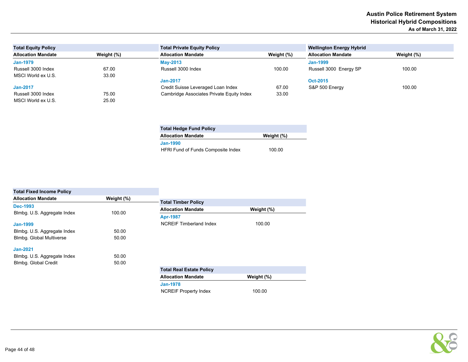| <b>Total Equity Policy</b> |            | <b>Total Private Equity Policy</b>        |            | <b>Wellington Energy Hybrid</b> |            |
|----------------------------|------------|-------------------------------------------|------------|---------------------------------|------------|
| <b>Allocation Mandate</b>  | Weight (%) | <b>Allocation Mandate</b>                 | Weight (%) | <b>Allocation Mandate</b>       | Weight (%) |
| Jan-1979                   |            | <b>May-2013</b>                           |            | <b>Jan-1999</b>                 |            |
| Russell 3000 Index         | 67.00      | Russell 3000 Index                        | 100.00     | Russell 3000 Energy SP          | 100.00     |
| MSCI World ex U.S.         | 33.00      |                                           |            |                                 |            |
|                            |            | <b>Jan-2017</b>                           |            | Oct-2015                        |            |
| <b>Jan-2017</b>            |            | Credit Suisse Leveraged Loan Index        | 67.00      | S&P 500 Energy                  | 100.00     |
| Russell 3000 Index         | 75.00      | Cambridge Associates Private Equity Index | 33.00      |                                 |            |
| MSCI World ex U.S.         | 25.00      |                                           |            |                                 |            |

| <b>Total Hedge Fund Policy</b>            |            |
|-------------------------------------------|------------|
| <b>Allocation Mandate</b>                 | Weight (%) |
| Jan-1990                                  |            |
| <b>HFRI Fund of Funds Composite Index</b> | 100.00     |

| <b>Total Fixed Income Policy</b> |            |                                 |            |
|----------------------------------|------------|---------------------------------|------------|
| <b>Allocation Mandate</b>        | Weight (%) |                                 |            |
| Dec-1993                         |            | <b>Total Timber Policy</b>      |            |
| Blmbg. U.S. Aggregate Index      | 100.00     | <b>Allocation Mandate</b>       | Weight (%) |
|                                  |            | <b>Apr-1987</b>                 |            |
| <b>Jan-1999</b>                  |            | <b>NCREIF Timberland Index</b>  | 100.00     |
| Blmbg. U.S. Aggregate Index      | 50.00      |                                 |            |
| <b>Blmbg. Global Multiverse</b>  | 50.00      |                                 |            |
| Jan-2021                         |            |                                 |            |
| Blmbg. U.S. Aggregate Index      | 50.00      |                                 |            |
| Blmbg. Global Credit             | 50.00      |                                 |            |
|                                  |            | <b>Total Real Estate Policy</b> |            |
|                                  |            | <b>Allocation Mandate</b>       | Weight (%) |
|                                  |            | <b>Jan-1978</b>                 |            |

NCREIF Property Index 100.00

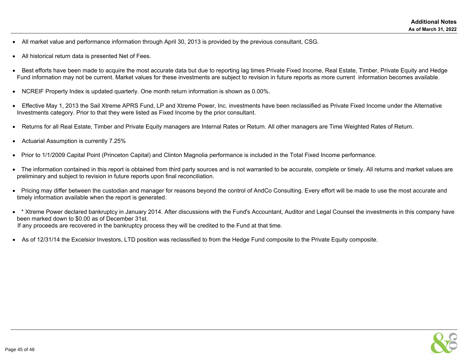- · All market value and performance information through April 30, 2013 is provided by the previous consultant, CSG.
- All historical return data is presented Net of Fees.
- · Best efforts have been made to acquire the most accurate data but due to reporting lag times Private Fixed Income, Real Estate, Timber, Private Equity and Hedge Fund information may not be current. Market values for these investments are subject to revision in future reports as more current information becomes available.
- · NCREIF Property Index is updated quarterly. One month return information is shown as 0.00%.
- Effective May 1, 2013 the Sail Xtreme APRS Fund, LP and Xtreme Power, Inc. investments have been reclassified as Private Fixed Income under the Alternative Investments category. Prior to that they were listed as Fixed Income by the prior consultant.
- · Returns for all Real Estate, Timber and Private Equity managers are Internal Rates or Return. All other managers are Time Weighted Rates of Return.
- · Actuarial Assumption is currently 7.25%
- Prior to 1/1/2009 Capital Point (Princeton Capital) and Clinton Magnolia performance is included in the Total Fixed Income performance.
- · The information contained in this report is obtained from third party sources and is not warranted to be accurate, complete or timely. All returns and market values are preliminary and subject to revision in future reports upon final reconciliation.
- · Pricing may differ between the custodian and manager for reasons beyond the control of AndCo Consulting. Every effort will be made to use the most accurate and timely information available when the report is generated.
- · \* Xtreme Power declared bankruptcy in January 2014. After discussions with the Fund's Accountant, Auditor and Legal Counsel the investments in this company have been marked down to \$0.00 as of December 31st. If any proceeds are recovered in the bankruptcy process they will be credited to the Fund at that time.
- · As of 12/31/14 the Excelsior Investors, LTD position was reclassified to from the Hedge Fund composite to the Private Equity composite.

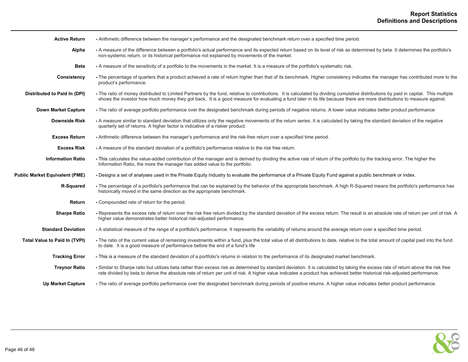| <b>Active Return</b>                  | - Arithmetic difference between the manager's performance and the designated benchmark return over a specified time period.                                                                                                                                                                                                                                    |
|---------------------------------------|----------------------------------------------------------------------------------------------------------------------------------------------------------------------------------------------------------------------------------------------------------------------------------------------------------------------------------------------------------------|
| Alpha                                 | - A measure of the difference between a portfolio's actual performance and its expected return based on its level of risk as determined by beta. It determines the portfolio's<br>non-systemic return, or its historical performance not explained by movements of the market.                                                                                 |
| <b>Beta</b>                           | - A measure of the sensitivity of a portfolio to the movements in the market. It is a measure of the portfolio's systematic risk.                                                                                                                                                                                                                              |
| Consistency                           | - The percentage of quarters that a product achieved a rate of return higher than that of its benchmark. Higher consistency indicates the manager has contributed more to the<br>product's performance.                                                                                                                                                        |
| Distributed to Paid In (DPI)          | - The ratio of money distributed to Limited Partners by the fund, relative to contributions. It is calculated by dividing cumulative distributions by paid in capital. This multiple<br>shows the investor how much money they got back. It is a good measure for evaluating a fund later in its life because there are more distributions to measure against. |
| <b>Down Market Capture</b>            | - The ratio of average portfolio performance over the designated benchmark during periods of negative returns. A lower value indicates better product performance                                                                                                                                                                                              |
| <b>Downside Risk</b>                  | - A measure similar to standard deviation that utilizes only the negative movements of the return series. It is calculated by taking the standard deviation of the negative<br>quarterly set of returns. A higher factor is indicative of a riskier product.                                                                                                   |
| <b>Excess Return</b>                  | - Arithmetic difference between the manager's performance and the risk-free return over a specified time period.                                                                                                                                                                                                                                               |
| <b>Excess Risk</b>                    | - A measure of the standard deviation of a portfolio's performance relative to the risk free return.                                                                                                                                                                                                                                                           |
| <b>Information Ratio</b>              | - This calculates the value-added contribution of the manager and is derived by dividing the active rate of return of the portfolio by the tracking error. The higher the<br>Information Ratio, the more the manager has added value to the portfolio.                                                                                                         |
| <b>Public Market Equivalent (PME)</b> | - Designs a set of analyses used in the Private Equity Industry to evaluate the performance of a Private Equity Fund against a public benchmark or index.                                                                                                                                                                                                      |
| R-Squared                             | - The percentage of a portfolio's performance that can be explained by the behavior of the appropriate benchmark. A high R-Squared means the portfolio's performance has<br>historically moved in the same direction as the appropriate benchmark.                                                                                                             |
| Return                                | - Compounded rate of return for the period.                                                                                                                                                                                                                                                                                                                    |
| <b>Sharpe Ratio</b>                   | - Represents the excess rate of return over the risk free return divided by the standard deviation of the excess return. The result is an absolute rate of return per unit of risk. A<br>higher value demonstrates better historical risk-adjusted performance.                                                                                                |
| <b>Standard Deviation</b>             | - A statistical measure of the range of a portfolio's performance. It represents the variability of returns around the average return over a specified time period.                                                                                                                                                                                            |
| Total Value to Paid In (TVPI)         | - The ratio of the current value of remaining investments within a fund, plus the total value of all distributions to date, relative to the total amount of capital paid into the fund<br>to date. It is a good measure of performance before the end of a fund's life                                                                                         |
| <b>Tracking Error</b>                 | - This is a measure of the standard deviation of a portfolio's returns in relation to the performance of its designated market benchmark.                                                                                                                                                                                                                      |
| <b>Treynor Ratio</b>                  | - Similar to Sharpe ratio but utilizes beta rather than excess risk as determined by standard deviation. It is calculated by taking the excess rate of return above the risk free<br>rate divided by beta to derive the absolute rate of return per unit of risk. A higher value indicates a product has achieved better historical risk-adjusted performance. |
| <b>Up Market Capture</b>              | - The ratio of average portfolio performance over the designated benchmark during periods of positive returns. A higher value indicates better product performance.                                                                                                                                                                                            |

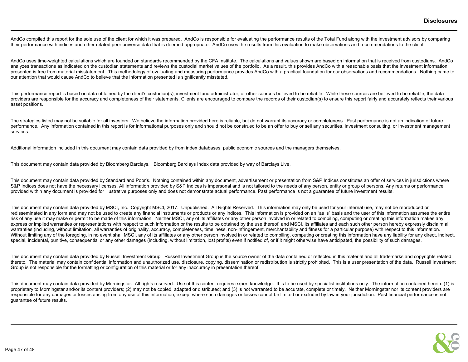AndCo compiled this report for the sole use of the client for which it was prepared. AndCo is responsible for evaluating the performance results of the Total Fund along with the investment advisors by comparing their performance with indices and other related peer universe data that is deemed appropriate. AndCo uses the results from this evaluation to make observations and recommendations to the client.

AndCo uses time-weighted calculations which are founded on standards recommended by the CFA Institute. The calculations and values shown are based on information that is received from custodians. AndCo analyzes transactions as indicated on the custodian statements and reviews the custodial market values of the portfolio. As a result, this provides AndCo with a reasonable basis that the investment information presented is free from material misstatement. This methodology of evaluating and measuring performance provides AndCo with a practical foundation for our observations and recommendations. Nothing came to our attention that would cause AndCo to believe that the information presented is significantly misstated.

This performance report is based on data obtained by the client's custodian(s), investment fund administrator, or other sources believed to be reliable. While these sources are believed to be reliable, the data providers are responsible for the accuracy and completeness of their statements. Clients are encouraged to compare the records of their custodian(s) to ensure this report fairly and accurately reflects their various asset positions.

The strategies listed may not be suitable for all investors. We believe the information provided here is reliable, but do not warrant its accuracy or completeness. Past performance is not an indication of future performance. Any information contained in this report is for informational purposes only and should not be construed to be an offer to buy or sell any securities, investment consulting, or investment management services.

Additional information included in this document may contain data provided by from index databases, public economic sources and the managers themselves.

This document may contain data provided by Bloomberg Barclays. Bloomberg Barclays Index data provided by way of Barclays Live.

This document may contain data provided by Standard and Poor's. Nothing contained within any document, advertisement or presentation from S&P Indices constitutes an offer of services in jurisdictions where S&P Indices does not have the necessary licenses. All information provided by S&P Indices is impersonal and is not tailored to the needs of any person, entity or group of persons. Any returns or performance provided within any document is provided for illustrative purposes only and does not demonstrate actual performance. Past performance is not a guarantee of future investment results.

This document may contain data provided by MSCI, Inc. Copyright MSCI, 2017. Unpublished. All Rights Reserved. This information may only be used for your internal use, may not be reproduced or redisseminated in any form and may not be used to create any financial instruments or products or any indices. This information is provided on an "as is" basis and the user of this information assumes the entire risk of any use it may make or permit to be made of this information. Neither MSCI, any of its affiliates or any other person involved in or related to compiling, computing or creating this information makes any express or implied warranties or representations with respect to such information or the results to be obtained by the use thereof, and MSCI, its affiliates and each such other person hereby expressly disclaim all warranties (including, without limitation, all warranties of originality, accuracy, completeness, timeliness, non-infringement, merchantability and fitness for a particular purpose) with respect to this information. Without limiting any of the foregoing, in no event shall MSCI, any of its affiliates or any other person involved in or related to compiling, computing or creating this information have any liability for any direct, indire special, incidental, punitive, consequential or any other damages (including, without limitation, lost profits) even if notified of, or if it might otherwise have anticipated, the possibility of such damages.

This document may contain data provided by Russell Investment Group. Russell Investment Group is the source owner of the data contained or reflected in this material and all trademarks and copyrights related thereto. The material may contain confidential information and unauthorized use, disclosure, copying, dissemination or redistribution is strictly prohibited. This is a user presentation of the data. Russell Investment Group is not responsible for the formatting or configuration of this material or for any inaccuracy in presentation thereof.

This document may contain data provided by Morningstar. All rights reserved. Use of this content requires expert knowledge. It is to be used by specialist institutions only. The information contained herein: (1) is proprietary to Morningstar and/or its content providers; (2) may not be copied, adapted or distributed; and (3) is not warranted to be accurate, complete or timely. Neither Morningstar nor its content providers are responsible for any damages or losses arising from any use of this information, except where such damages or losses cannot be limited or excluded by law in your jurisdiction. Past financial performance is not guarantee of future results.